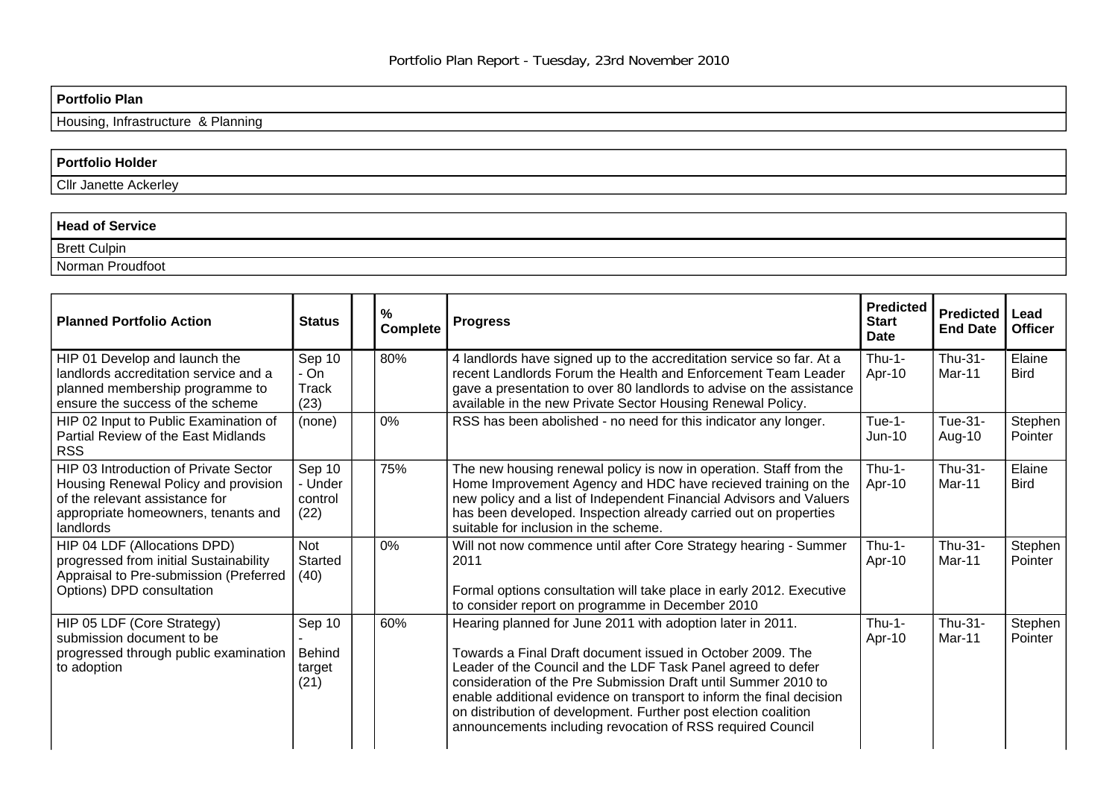Housing, Infrastructure & Planning

# **Portfolio Holder**

Cllr Janette Ackerley

## **Head of Service**  Brett Culpin Norman Proudfoot

| <b>Planned Portfolio Action</b>                                                                                                                                     | <b>Status</b>                        | $\%$<br>Complete | <b>Progress</b>                                                                                                                                                                                                                                                                                                                                                                                                                                                     | <b>Predicted</b><br><b>Start</b><br>Date | <b>Predicted</b><br><b>End Date</b> | Lead<br><b>Officer</b> |
|---------------------------------------------------------------------------------------------------------------------------------------------------------------------|--------------------------------------|------------------|---------------------------------------------------------------------------------------------------------------------------------------------------------------------------------------------------------------------------------------------------------------------------------------------------------------------------------------------------------------------------------------------------------------------------------------------------------------------|------------------------------------------|-------------------------------------|------------------------|
| HIP 01 Develop and launch the<br>landlords accreditation service and a<br>planned membership programme to<br>ensure the success of the scheme                       | Sep 10<br>- On<br>Track<br>(23)      | 80%              | 4 landlords have signed up to the accreditation service so far. At a<br>recent Landlords Forum the Health and Enforcement Team Leader<br>gave a presentation to over 80 landlords to advise on the assistance<br>available in the new Private Sector Housing Renewal Policy.                                                                                                                                                                                        | Thu-1-<br>Apr-10                         | Thu-31-<br>Mar-11                   | Elaine<br><b>Bird</b>  |
| HIP 02 Input to Public Examination of<br>Partial Review of the East Midlands<br><b>RSS</b>                                                                          | (none)                               | 0%               | RSS has been abolished - no need for this indicator any longer.                                                                                                                                                                                                                                                                                                                                                                                                     | Tue-1-<br>Jun-10                         | Tue-31-<br>Aug-10                   | Stephen<br>Pointer     |
| HIP 03 Introduction of Private Sector<br>Housing Renewal Policy and provision<br>of the relevant assistance for<br>appropriate homeowners, tenants and<br>landlords | Sep 10<br>- Under<br>control<br>(22) | 75%              | The new housing renewal policy is now in operation. Staff from the<br>Home Improvement Agency and HDC have recieved training on the<br>new policy and a list of Independent Financial Advisors and Valuers<br>has been developed. Inspection already carried out on properties<br>suitable for inclusion in the scheme.                                                                                                                                             | Thu-1-<br>Apr-10                         | Thu-31-<br>Mar-11                   | Elaine<br><b>Bird</b>  |
| HIP 04 LDF (Allocations DPD)<br>progressed from initial Sustainability<br>Appraisal to Pre-submission (Preferred<br>Options) DPD consultation                       | <b>Not</b><br><b>Started</b><br>(40) | $0\%$            | Will not now commence until after Core Strategy hearing - Summer<br>2011<br>Formal options consultation will take place in early 2012. Executive<br>to consider report on programme in December 2010                                                                                                                                                                                                                                                                | $T$ hu-1-<br>Apr-10                      | Thu-31-<br>Mar-11                   | Stephen<br>Pointer     |
| HIP 05 LDF (Core Strategy)<br>submission document to be<br>progressed through public examination<br>to adoption                                                     | Sep 10<br>Behind<br>target<br>(21)   | 60%              | Hearing planned for June 2011 with adoption later in 2011.<br>Towards a Final Draft document issued in October 2009. The<br>Leader of the Council and the LDF Task Panel agreed to defer<br>consideration of the Pre Submission Draft until Summer 2010 to<br>enable additional evidence on transport to inform the final decision<br>on distribution of development. Further post election coalition<br>announcements including revocation of RSS required Council | $T$ hu-1-<br>Apr-10                      | Thu-31-<br><b>Mar-11</b>            | Stephen<br>Pointer     |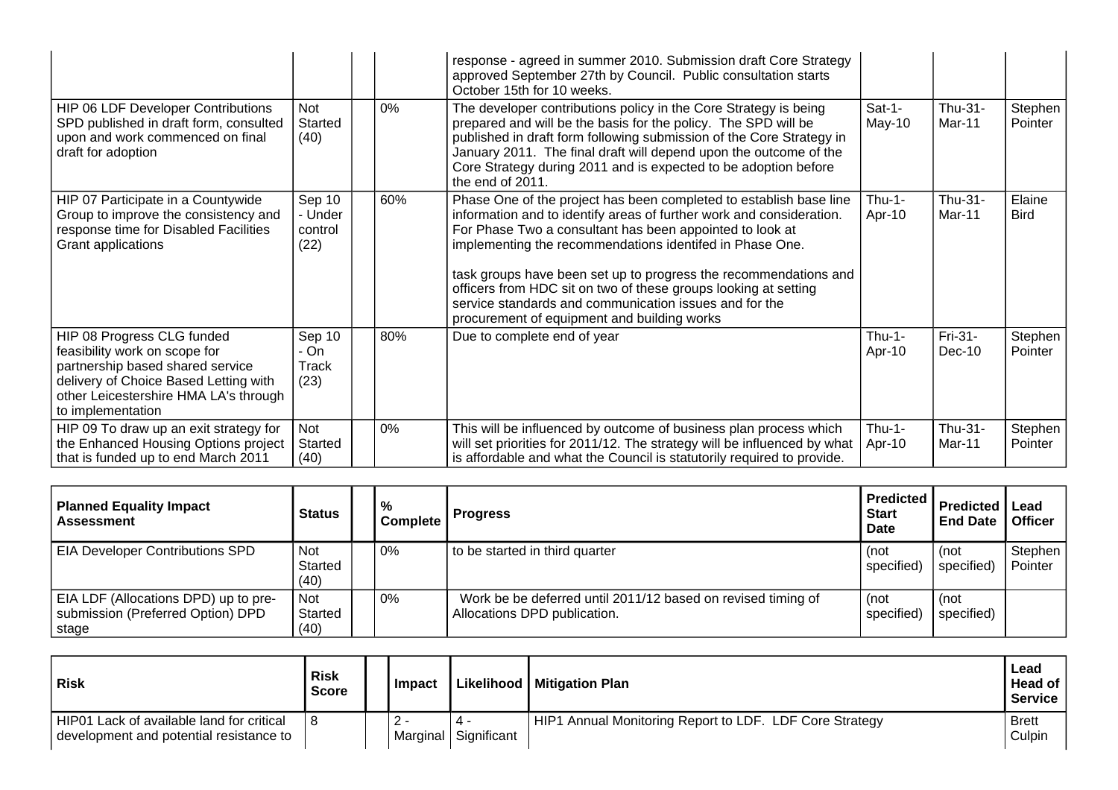|                                                                                                                                                                                                        |                                      |       | response - agreed in summer 2010. Submission draft Core Strategy<br>approved September 27th by Council. Public consultation starts<br>October 15th for 10 weeks.                                                                                                                                                                                                                                                                                                                                                   |                    |                     |                       |
|--------------------------------------------------------------------------------------------------------------------------------------------------------------------------------------------------------|--------------------------------------|-------|--------------------------------------------------------------------------------------------------------------------------------------------------------------------------------------------------------------------------------------------------------------------------------------------------------------------------------------------------------------------------------------------------------------------------------------------------------------------------------------------------------------------|--------------------|---------------------|-----------------------|
| HIP 06 LDF Developer Contributions<br>SPD published in draft form, consulted<br>upon and work commenced on final<br>draft for adoption                                                                 | <b>Not</b><br>Started<br>(40)        | 0%    | The developer contributions policy in the Core Strategy is being<br>prepared and will be the basis for the policy. The SPD will be<br>published in draft form following submission of the Core Strategy in<br>January 2011. The final draft will depend upon the outcome of the<br>Core Strategy during 2011 and is expected to be adoption before<br>the end of 2011.                                                                                                                                             | $Sat-1-$<br>May-10 | Thu-31-<br>Mar-11   | Stephen<br>Pointer    |
| HIP 07 Participate in a Countywide<br>Group to improve the consistency and<br>response time for Disabled Facilities<br>Grant applications                                                              | Sep 10<br>- Under<br>control<br>(22) | 60%   | Phase One of the project has been completed to establish base line<br>information and to identify areas of further work and consideration.<br>For Phase Two a consultant has been appointed to look at<br>implementing the recommendations identifed in Phase One.<br>task groups have been set up to progress the recommendations and<br>officers from HDC sit on two of these groups looking at setting<br>service standards and communication issues and for the<br>procurement of equipment and building works | $Thu-1-$<br>Apr-10 | Thu-31-<br>Mar-11   | Elaine<br><b>Bird</b> |
| HIP 08 Progress CLG funded<br>feasibility work on scope for<br>partnership based shared service<br>delivery of Choice Based Letting with<br>other Leicestershire HMA LA's through<br>to implementation | Sep 10<br>- On<br>Track<br>(23)      | 80%   | Due to complete end of year                                                                                                                                                                                                                                                                                                                                                                                                                                                                                        | $Thu-1-$<br>Apr-10 | Fri-31-<br>$Dec-10$ | Stephen<br>Pointer    |
| HIP 09 To draw up an exit strategy for<br>the Enhanced Housing Options project<br>that is funded up to end March 2011                                                                                  | Not<br>Started<br>(40)               | $0\%$ | This will be influenced by outcome of business plan process which<br>will set priorities for 2011/12. The strategy will be influenced by what<br>is affordable and what the Council is statutorily required to provide.                                                                                                                                                                                                                                                                                            | $Thu-1-$<br>Apr-10 | Thu-31-<br>Mar-11   | Stephen<br>Pointer    |

| <b>Planned Equality Impact</b><br>∣ Assessment                                       | <b>Status</b>                 | $\%$<br><b>Complete</b> | <b>Progress</b>                                                                              | <b>Predicted</b><br>Start<br><b>Date</b> | Predicted<br><b>End Date</b> | l Lead<br><b>Officer</b> |
|--------------------------------------------------------------------------------------|-------------------------------|-------------------------|----------------------------------------------------------------------------------------------|------------------------------------------|------------------------------|--------------------------|
| <b>EIA Developer Contributions SPD</b>                                               | <b>Not</b><br>Started<br>(40) | $0\%$                   | to be started in third quarter                                                               | (not<br>specified)                       | (not<br>specified)           | Stephen<br>Pointer       |
| EIA LDF (Allocations DPD) up to pre-<br>submission (Preferred Option) DPD<br>  stage | Not<br>Started<br>(40)        | $0\%$                   | Work be be deferred until 2011/12 based on revised timing of<br>Allocations DPD publication. | (not<br>specified)                       | (not<br>specified)           |                          |

| <b>Risk</b>                                                                          | <b>Risk</b><br><b>Score</b> | ∣ Impact |                             | <b>Likelihood   Mitigation Plan</b>                     | l Lead<br>I Head of<br><b>Service</b> |
|--------------------------------------------------------------------------------------|-----------------------------|----------|-----------------------------|---------------------------------------------------------|---------------------------------------|
| HIP01 Lack of available land for critical<br>development and potential resistance to |                             | $2 -$    | - 4<br>Marginal Significant | HIP1 Annual Monitoring Report to LDF. LDF Core Strategy | <b>Brett</b><br>Culpin                |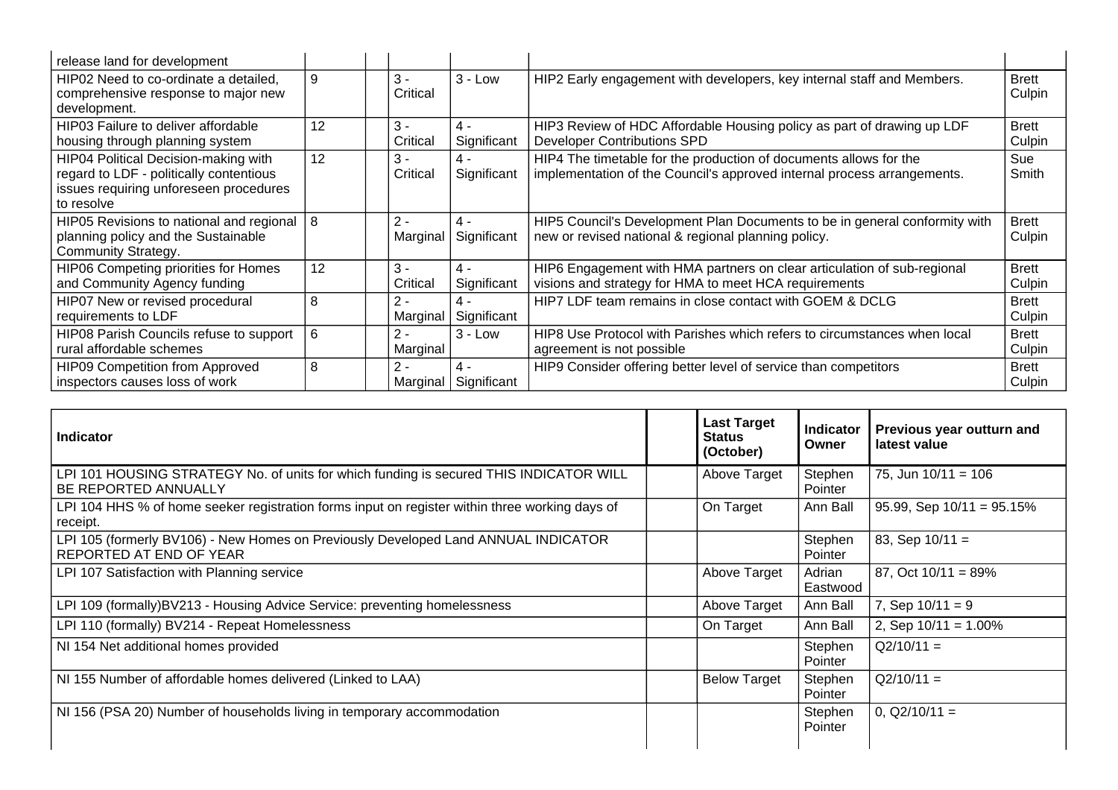| release land for development                                                                                                                   |    |                   |                               |                                                                                                                                              |                        |
|------------------------------------------------------------------------------------------------------------------------------------------------|----|-------------------|-------------------------------|----------------------------------------------------------------------------------------------------------------------------------------------|------------------------|
| HIP02 Need to co-ordinate a detailed,<br>comprehensive response to major new<br>development.                                                   | 9  | $3 -$<br>Critical | $3 - Low$                     | HIP2 Early engagement with developers, key internal staff and Members.                                                                       | <b>Brett</b><br>Culpin |
| HIP03 Failure to deliver affordable<br>housing through planning system                                                                         | 12 | $3 -$<br>Critical | $4 -$<br>Significant          | HIP3 Review of HDC Affordable Housing policy as part of drawing up LDF<br><b>Developer Contributions SPD</b>                                 | <b>Brett</b><br>Culpin |
| <b>HIP04 Political Decision-making with</b><br>regard to LDF - politically contentious<br>issues requiring unforeseen procedures<br>to resolve | 12 | $3 -$<br>Critical | $4 -$<br>Significant          | HIP4 The timetable for the production of documents allows for the<br>implementation of the Council's approved internal process arrangements. | Sue<br>Smith           |
| HIP05 Revisions to national and regional<br>planning policy and the Sustainable<br><b>Community Strategy.</b>                                  | -8 | $2 -$<br>Marginal | $4 -$<br>Significant          | HIP5 Council's Development Plan Documents to be in general conformity with<br>new or revised national & regional planning policy.            | <b>Brett</b><br>Culpin |
| HIP06 Competing priorities for Homes<br>and Community Agency funding                                                                           | 12 | $3 -$<br>Critical | $4 -$<br>Significant          | HIP6 Engagement with HMA partners on clear articulation of sub-regional<br>visions and strategy for HMA to meet HCA requirements             | <b>Brett</b><br>Culpin |
| HIP07 New or revised procedural<br>requirements to LDF                                                                                         | 8  | $2 -$<br>Marginal | $4 -$<br>Significant          | HIP7 LDF team remains in close contact with GOEM & DCLG                                                                                      | <b>Brett</b><br>Culpin |
| HIP08 Parish Councils refuse to support<br>rural affordable schemes                                                                            | 6  | $2 -$<br>Marginal | $3 - Low$                     | HIP8 Use Protocol with Parishes which refers to circumstances when local<br>agreement is not possible                                        | <b>Brett</b><br>Culpin |
| <b>HIP09 Competition from Approved</b><br>inspectors causes loss of work                                                                       | 8  | $2 -$             | $4 -$<br>Marginal Significant | HIP9 Consider offering better level of service than competitors                                                                              | <b>Brett</b><br>Culpin |

| <b>Indicator</b>                                                                                               | <b>Last Target</b><br><b>Status</b><br>(October) | <b>Indicator</b><br>Owner | Previous year outturn and<br>latest value |
|----------------------------------------------------------------------------------------------------------------|--------------------------------------------------|---------------------------|-------------------------------------------|
| LPI 101 HOUSING STRATEGY No. of units for which funding is secured THIS INDICATOR WILL<br>BE REPORTED ANNUALLY | Above Target                                     | Stephen<br>Pointer        | 75, Jun $10/11 = 106$                     |
| LPI 104 HHS % of home seeker registration forms input on register within three working days of<br>receipt.     | On Target                                        | Ann Ball                  | 95.99, Sep $10/11 = 95.15%$               |
| LPI 105 (formerly BV106) - New Homes on Previously Developed Land ANNUAL INDICATOR<br>REPORTED AT END OF YEAR  |                                                  | Stephen<br>Pointer        | 83, Sep $10/11 =$                         |
| LPI 107 Satisfaction with Planning service                                                                     | Above Target                                     | Adrian<br>Eastwood        | 87, Oct $10/11 = 89%$                     |
| LPI 109 (formally) BV213 - Housing Advice Service: preventing homelessness                                     | Above Target                                     | Ann Ball                  | 7, Sep $10/11 = 9$                        |
| LPI 110 (formally) BV214 - Repeat Homelessness                                                                 | On Target                                        | Ann Ball                  | 2, Sep $10/11 = 1.00\%$                   |
| NI 154 Net additional homes provided                                                                           |                                                  | Stephen<br>Pointer        | $Q2/10/11 =$                              |
| NI 155 Number of affordable homes delivered (Linked to LAA)                                                    | <b>Below Target</b>                              | Stephen<br>Pointer        | $Q2/10/11 =$                              |
| NI 156 (PSA 20) Number of households living in temporary accommodation                                         |                                                  | Stephen<br>Pointer        | $0, Q2/10/11 =$                           |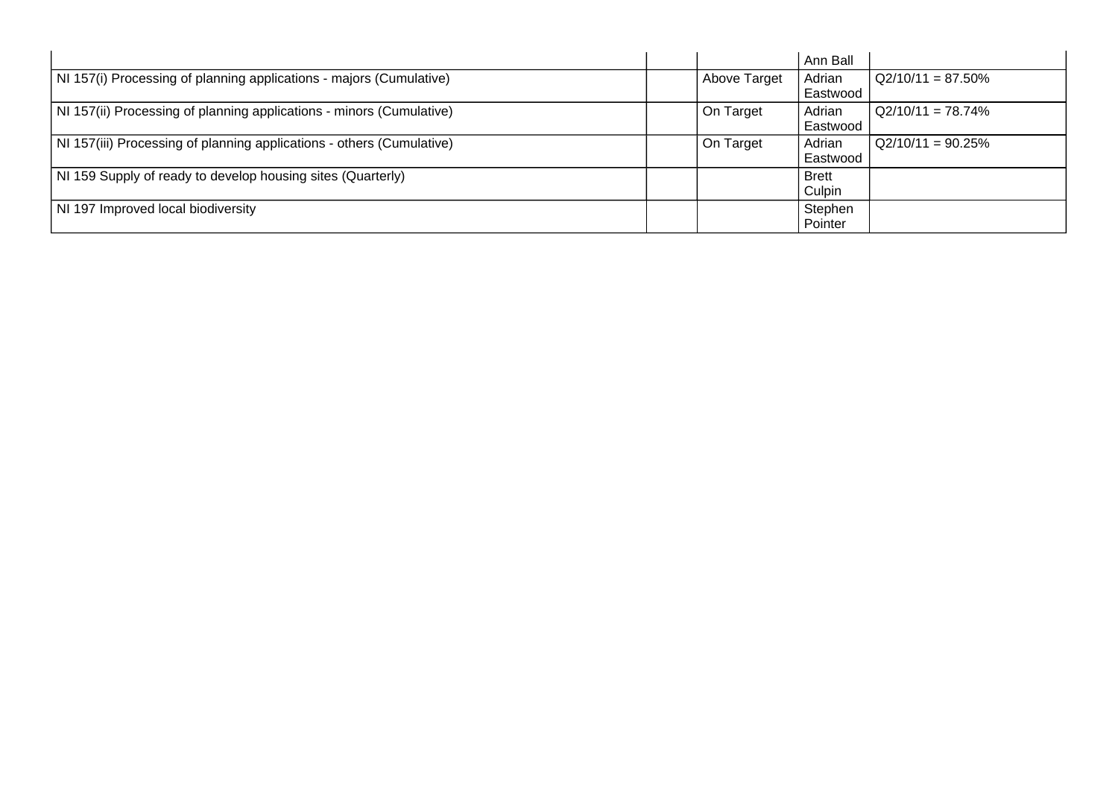|                                                                       |              | Ann Ball               |                      |
|-----------------------------------------------------------------------|--------------|------------------------|----------------------|
| NI 157(i) Processing of planning applications - majors (Cumulative)   | Above Target | Adrian<br>Eastwood     | $Q2/10/11 = 87.50\%$ |
| NI 157(ii) Processing of planning applications - minors (Cumulative)  | On Target    | Adrian<br>Eastwood     | $Q2/10/11 = 78.74%$  |
| NI 157(iii) Processing of planning applications - others (Cumulative) | On Target    | Adrian<br>Eastwood     | $Q2/10/11 = 90.25\%$ |
| NI 159 Supply of ready to develop housing sites (Quarterly)           |              | <b>Brett</b><br>Culpin |                      |
| NI 197 Improved local biodiversity                                    |              | Stephen<br>Pointer     |                      |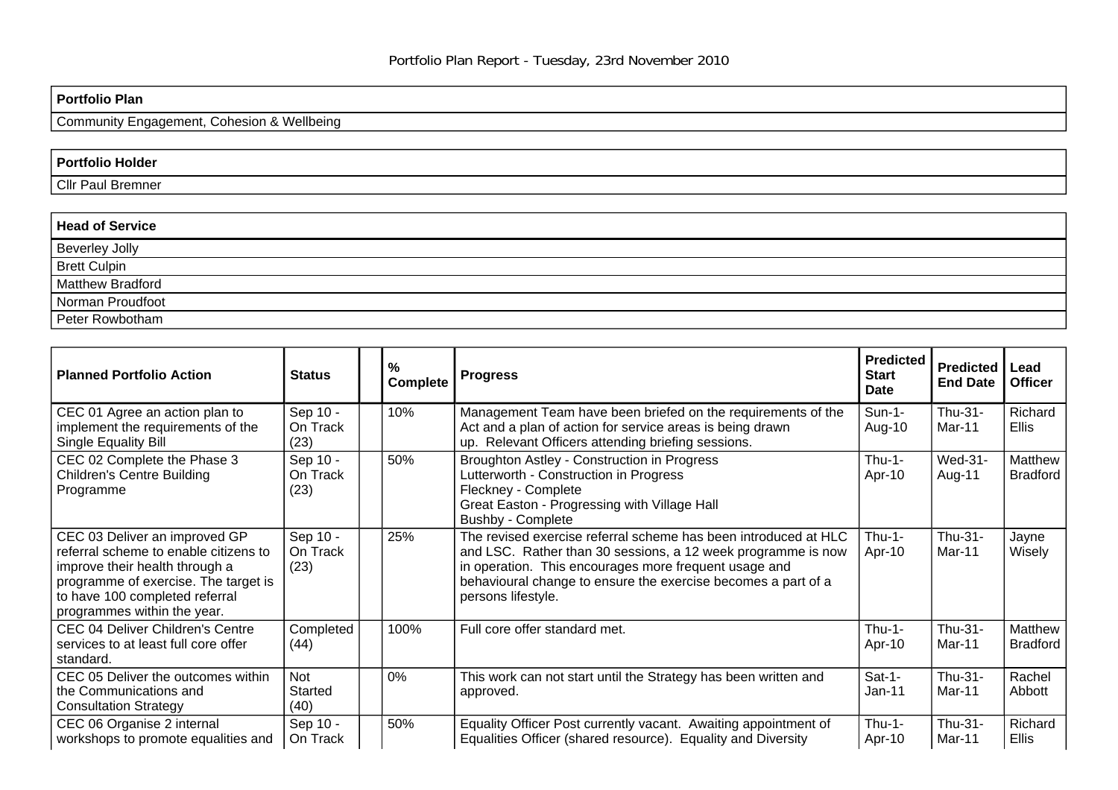Community Engagement, Cohesion & Wellbeing

# **Portfolio Holder**  Cllr Paul Bremner

| <b>Head of Service</b>  |  |
|-------------------------|--|
| <b>Beverley Jolly</b>   |  |
| Brett Culpin            |  |
| <b>Matthew Bradford</b> |  |
| Norman Proudfoot        |  |
| Peter Rowbotham         |  |

| <b>Planned Portfolio Action</b>                                                                                                                                                                                   | <b>Status</b>                | %<br>Complete | <b>Progress</b>                                                                                                                                                                                                                                                                 | <b>Predicted</b><br><b>Start</b><br>Date | <b>Predicted</b><br><b>End Date</b> | Lead<br><b>Officer</b>     |
|-------------------------------------------------------------------------------------------------------------------------------------------------------------------------------------------------------------------|------------------------------|---------------|---------------------------------------------------------------------------------------------------------------------------------------------------------------------------------------------------------------------------------------------------------------------------------|------------------------------------------|-------------------------------------|----------------------------|
| CEC 01 Agree an action plan to<br>implement the requirements of the<br>Single Equality Bill                                                                                                                       | Sep 10 -<br>On Track<br>(23) | 10%           | Management Team have been briefed on the requirements of the<br>Act and a plan of action for service areas is being drawn<br>up. Relevant Officers attending briefing sessions.                                                                                                 | $Sun-1-$<br>Aug-10                       | Thu-31-<br>Mar-11                   | Richard<br><b>Ellis</b>    |
| CEC 02 Complete the Phase 3<br><b>Children's Centre Building</b><br>Programme                                                                                                                                     | Sep 10 -<br>On Track<br>(23) | 50%           | Broughton Astley - Construction in Progress<br>Lutterworth - Construction in Progress<br>Fleckney - Complete<br>Great Easton - Progressing with Village Hall<br><b>Bushby - Complete</b>                                                                                        | $Thu-1-$<br>Apr-10                       | Wed-31-<br>Aug-11                   | Matthew<br><b>Bradford</b> |
| CEC 03 Deliver an improved GP<br>referral scheme to enable citizens to<br>improve their health through a<br>programme of exercise. The target is<br>to have 100 completed referral<br>programmes within the year. | Sep 10 -<br>On Track<br>(23) | 25%           | The revised exercise referral scheme has been introduced at HLC<br>and LSC. Rather than 30 sessions, a 12 week programme is now<br>in operation. This encourages more frequent usage and<br>behavioural change to ensure the exercise becomes a part of a<br>persons lifestyle. | Thu-1-<br>Apr-10                         | Thu-31-<br>Mar-11                   | Jayne<br>Wisely            |
| CEC 04 Deliver Children's Centre<br>services to at least full core offer<br>standard.                                                                                                                             | Completed<br>(44)            | 100%          | Full core offer standard met.                                                                                                                                                                                                                                                   | $T$ hu-1-<br>Apr-10                      | Thu-31-<br>Mar-11                   | Matthew<br><b>Bradford</b> |
| CEC 05 Deliver the outcomes within<br>the Communications and<br><b>Consultation Strategy</b>                                                                                                                      | Not<br>Started<br>(40)       | 0%            | This work can not start until the Strategy has been written and<br>approved.                                                                                                                                                                                                    | $Sat-1-$<br>Jan-11                       | Thu-31-<br>Mar-11                   | Rachel<br>Abbott           |
| CEC 06 Organise 2 internal<br>workshops to promote equalities and                                                                                                                                                 | Sep 10 -<br>On Track         | 50%           | Equality Officer Post currently vacant. Awaiting appointment of<br>Equalities Officer (shared resource). Equality and Diversity                                                                                                                                                 | Thu-1-<br>Apr-10                         | Thu-31-<br>Mar-11                   | Richard<br><b>Ellis</b>    |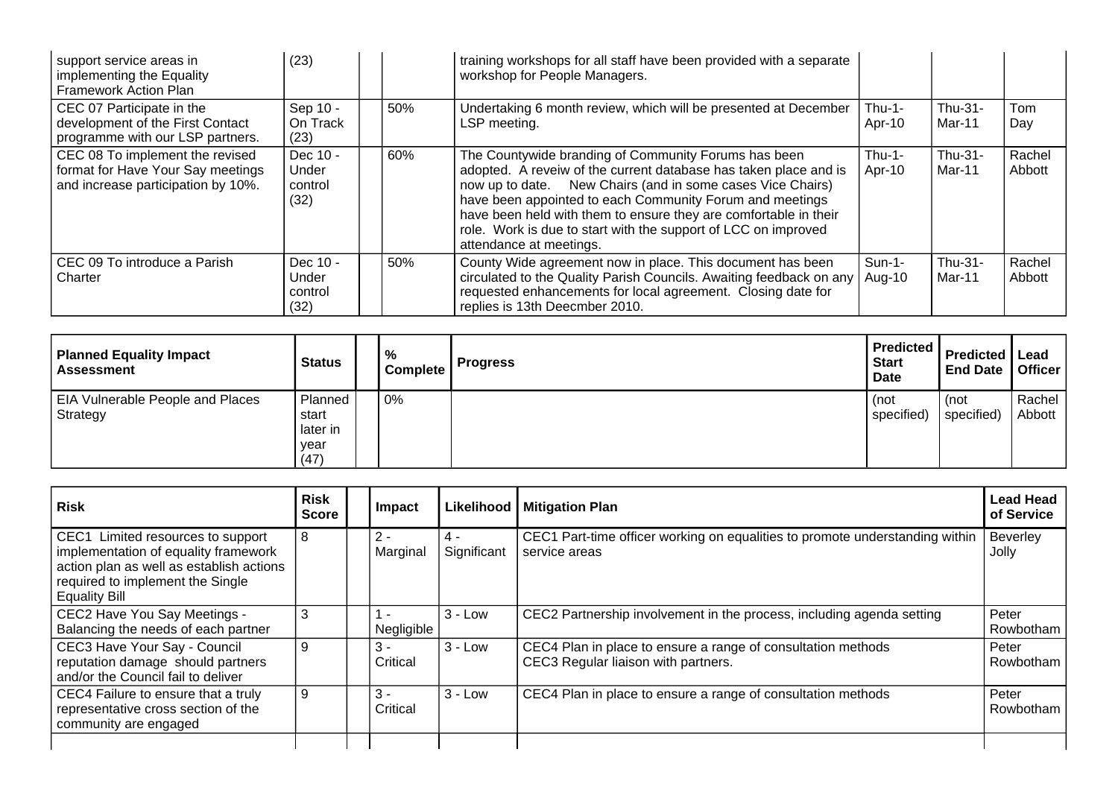| support service areas in<br>implementing the Equality<br><b>Framework Action Plan</b>                      | (23)                                 |     | training workshops for all staff have been provided with a separate<br>workshop for People Managers.                                                                                                                                                                                                                                                                                                                |                     |                   |                  |
|------------------------------------------------------------------------------------------------------------|--------------------------------------|-----|---------------------------------------------------------------------------------------------------------------------------------------------------------------------------------------------------------------------------------------------------------------------------------------------------------------------------------------------------------------------------------------------------------------------|---------------------|-------------------|------------------|
| CEC 07 Participate in the<br>development of the First Contact<br>programme with our LSP partners.          | Sep 10 -<br>On Track<br>(23)         | 50% | Undertaking 6 month review, which will be presented at December<br>LSP meeting.                                                                                                                                                                                                                                                                                                                                     | $T$ hu-1-<br>Apr-10 | Thu-31-<br>Mar-11 | Tom<br>Day       |
| CEC 08 To implement the revised<br>format for Have Your Say meetings<br>and increase participation by 10%. | Dec 10 -<br>Under<br>control<br>(32) | 60% | The Countywide branding of Community Forums has been<br>adopted. A reveiw of the current database has taken place and is<br>now up to date. New Chairs (and in some cases Vice Chairs)<br>have been appointed to each Community Forum and meetings<br>have been held with them to ensure they are comfortable in their<br>role. Work is due to start with the support of LCC on improved<br>attendance at meetings. | $Thu-1-$<br>Apr-10  | Thu-31-<br>Mar-11 | Rachel<br>Abbott |
| CEC 09 To introduce a Parish<br>Charter                                                                    | Dec 10 -<br>Under<br>control<br>(32) | 50% | County Wide agreement now in place. This document has been<br>circulated to the Quality Parish Councils. Awaiting feedback on any<br>requested enhancements for local agreement. Closing date for<br>replies is 13th Deecmber 2010.                                                                                                                                                                                 | $Sun-1-$<br>Aug-10  | Thu-31-<br>Mar-11 | Rachel<br>Abbott |

| <b>Planned Equality Impact</b><br><b>Assessment</b> | <b>Status</b>                                | $\%$<br>Complete | <b>Progress</b> | <b>Predicted</b><br><b>Start</b><br><b>Date</b> | <b>Predicted   Lead</b><br><b>End Date</b> | Officer          |
|-----------------------------------------------------|----------------------------------------------|------------------|-----------------|-------------------------------------------------|--------------------------------------------|------------------|
| <b>EIA Vulnerable People and Places</b><br>Strategy | Planned<br>start<br>later in<br>vear<br>(47) | 0%               |                 | (not<br>specified)                              | (not<br>specified)                         | Rachel<br>Abbott |

| Risk                                                                                                                                                                       | <b>Risk</b><br><b>Score</b> | Impact            | Likelihood         | <b>Mitigation Plan</b>                                                                              | <b>Lead Head</b><br>of Service |
|----------------------------------------------------------------------------------------------------------------------------------------------------------------------------|-----------------------------|-------------------|--------------------|-----------------------------------------------------------------------------------------------------|--------------------------------|
| CEC1 Limited resources to support<br>implementation of equality framework<br>action plan as well as establish actions<br>required to implement the Single<br>Equality Bill | 8                           | $2 -$<br>Marginal | 4 -<br>Significant | CEC1 Part-time officer working on equalities to promote understanding within<br>service areas       | Beverley<br>Jolly              |
| CEC2 Have You Say Meetings -<br>Balancing the needs of each partner                                                                                                        | 3                           | Negligible        | $3 - Low$          | CEC2 Partnership involvement in the process, including agenda setting                               | Peter<br>Rowbotham             |
| CEC3 Have Your Say - Council<br>reputation damage should partners<br>and/or the Council fail to deliver                                                                    | -9                          | $3 -$<br>Critical | $3 - Low$          | CEC4 Plan in place to ensure a range of consultation methods<br>CEC3 Regular liaison with partners. | Peter<br>Rowbotham             |
| CEC4 Failure to ensure that a truly<br>representative cross section of the<br>community are engaged                                                                        | -9                          | $3 -$<br>Critical | $3 - Low$          | CEC4 Plan in place to ensure a range of consultation methods                                        | Peter<br>Rowbotham             |
|                                                                                                                                                                            |                             |                   |                    |                                                                                                     |                                |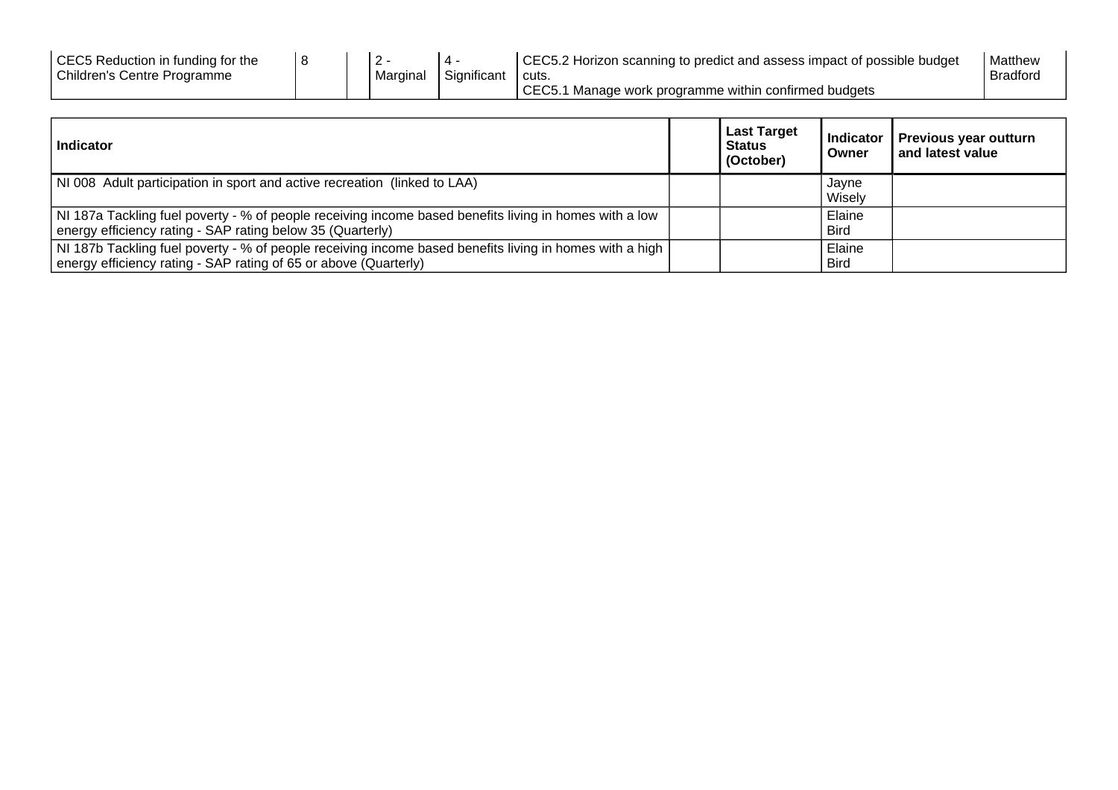| CEC5 Reduction in funding for the<br>Children's Centre Programme |  | Marginal | Significant | CEC5.2 Horizon scanning to predict and assess impact of possible budget<br>l cuts | Matthew<br><b>Bradford</b> |
|------------------------------------------------------------------|--|----------|-------------|-----------------------------------------------------------------------------------|----------------------------|
|                                                                  |  |          |             | CEC5.1 Manage work programme within confirmed budgets                             |                            |

| <b>Indicator</b>                                                                                                                                                              | <b>Last Target</b><br>Status<br>(October) | Owner                 | Indicator   Previous year outturn<br>and latest value |
|-------------------------------------------------------------------------------------------------------------------------------------------------------------------------------|-------------------------------------------|-----------------------|-------------------------------------------------------|
| NI 008 Adult participation in sport and active recreation (linked to LAA)                                                                                                     |                                           | Javne<br>Wisely       |                                                       |
| NI 187a Tackling fuel poverty - % of people receiving income based benefits living in homes with a low<br>energy efficiency rating - SAP rating below 35 (Quarterly)          |                                           | Elaine<br><b>Bird</b> |                                                       |
| NI 187b Tackling fuel poverty - % of people receiving income based benefits living in homes with a high  <br>energy efficiency rating - SAP rating of 65 or above (Quarterly) |                                           | Elaine<br><b>Bird</b> |                                                       |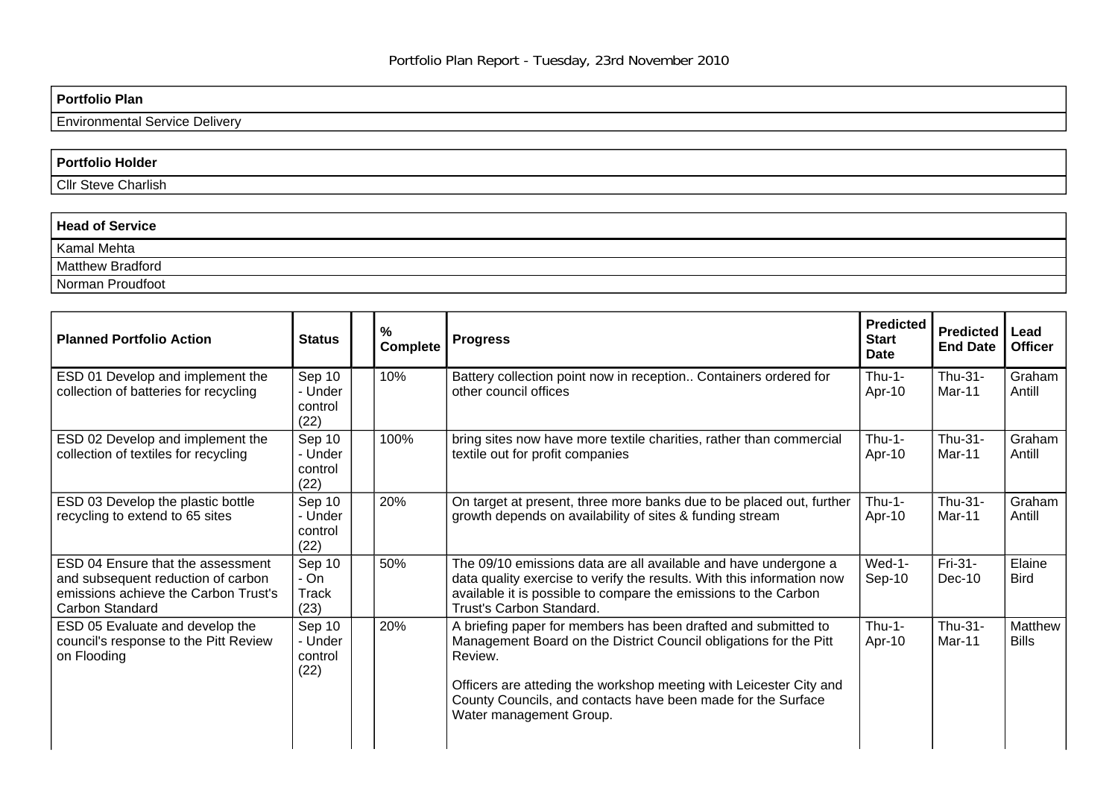Environmental Service Delivery

# **Portfolio Holder**  Cllr Steve Charlish

| <b>Head of Service</b> |
|------------------------|
| <b>Kamal Mehta</b>     |
| Matthew Bradford       |
| Norman Proudfoot       |

| <b>Planned Portfolio Action</b>                                                                                                    | <b>Status</b>                        | %<br><b>Complete</b> | <b>Progress</b>                                                                                                                                                                                                                                                                                                 | <b>Predicted</b><br><b>Start</b><br>Date | <b>Predicted</b><br><b>End Date</b> | Lead<br><b>Officer</b>  |
|------------------------------------------------------------------------------------------------------------------------------------|--------------------------------------|----------------------|-----------------------------------------------------------------------------------------------------------------------------------------------------------------------------------------------------------------------------------------------------------------------------------------------------------------|------------------------------------------|-------------------------------------|-------------------------|
| ESD 01 Develop and implement the<br>collection of batteries for recycling                                                          | Sep 10<br>- Under<br>control<br>(22) | 10%                  | Battery collection point now in reception Containers ordered for<br>other council offices                                                                                                                                                                                                                       | $Thu-1-$<br>Apr-10                       | Thu-31-<br>Mar-11                   | Graham<br>Antill        |
| ESD 02 Develop and implement the<br>collection of textiles for recycling                                                           | Sep 10<br>- Under<br>control<br>(22) | 100%                 | bring sites now have more textile charities, rather than commercial<br>textile out for profit companies                                                                                                                                                                                                         | $Thu-1-$<br>Apr-10                       | Thu-31-<br>Mar-11                   | Graham<br>Antill        |
| ESD 03 Develop the plastic bottle<br>recycling to extend to 65 sites                                                               | Sep 10<br>- Under<br>control<br>(22) | 20%                  | On target at present, three more banks due to be placed out, further<br>growth depends on availability of sites & funding stream                                                                                                                                                                                | $Thu-1-$<br>Apr-10                       | Thu-31-<br>Mar-11                   | Graham<br>Antill        |
| ESD 04 Ensure that the assessment<br>and subsequent reduction of carbon<br>emissions achieve the Carbon Trust's<br>Carbon Standard | Sep 10<br>$-On$<br>Track<br>(23)     | 50%                  | The 09/10 emissions data are all available and have undergone a<br>data quality exercise to verify the results. With this information now<br>available it is possible to compare the emissions to the Carbon<br>Trust's Carbon Standard.                                                                        | Wed-1-<br>$Sep-10$                       | Fri-31-<br>$Dec-10$                 | Elaine<br>Bird          |
| ESD 05 Evaluate and develop the<br>council's response to the Pitt Review<br>on Flooding                                            | Sep 10<br>- Under<br>control<br>(22) | 20%                  | A briefing paper for members has been drafted and submitted to<br>Management Board on the District Council obligations for the Pitt<br>Review.<br>Officers are atteding the workshop meeting with Leicester City and<br>County Councils, and contacts have been made for the Surface<br>Water management Group. | $Thu-1-$<br>Apr-10                       | Thu-31-<br>Mar-11                   | Matthew<br><b>Bills</b> |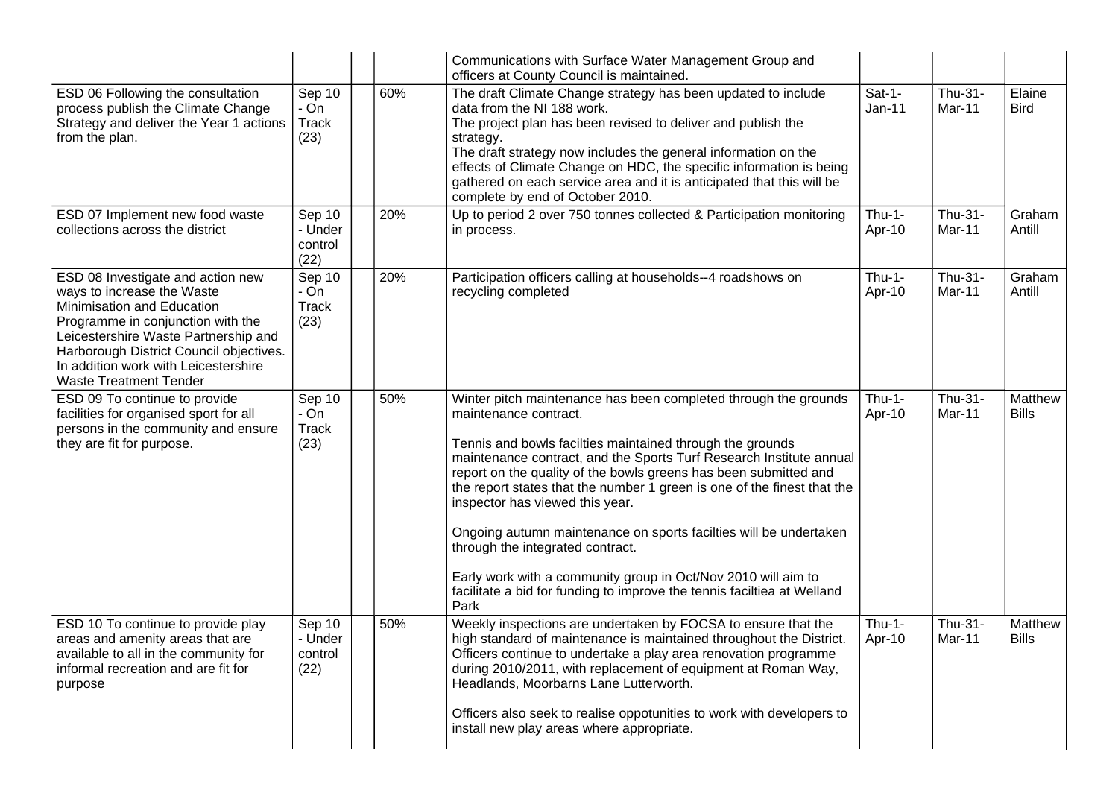|                                                                                                                                                                                                                                                                                                |                                        |     | Communications with Surface Water Management Group and<br>officers at County Council is maintained.                                                                                                                                                                                                                                                                                                                                                                                                                                                                                                                                                                         |                           |                   |                         |
|------------------------------------------------------------------------------------------------------------------------------------------------------------------------------------------------------------------------------------------------------------------------------------------------|----------------------------------------|-----|-----------------------------------------------------------------------------------------------------------------------------------------------------------------------------------------------------------------------------------------------------------------------------------------------------------------------------------------------------------------------------------------------------------------------------------------------------------------------------------------------------------------------------------------------------------------------------------------------------------------------------------------------------------------------------|---------------------------|-------------------|-------------------------|
| ESD 06 Following the consultation<br>process publish the Climate Change<br>Strategy and deliver the Year 1 actions<br>from the plan.                                                                                                                                                           | Sep 10<br>- On<br><b>Track</b><br>(23) | 60% | The draft Climate Change strategy has been updated to include<br>data from the NI 188 work.<br>The project plan has been revised to deliver and publish the<br>strategy.<br>The draft strategy now includes the general information on the<br>effects of Climate Change on HDC, the specific information is being<br>gathered on each service area and it is anticipated that this will be<br>complete by end of October 2010.                                                                                                                                                                                                                                              | $Sat-1-$<br><b>Jan-11</b> | Thu-31-<br>Mar-11 | Elaine<br><b>Bird</b>   |
| ESD 07 Implement new food waste<br>collections across the district                                                                                                                                                                                                                             | Sep 10<br>- Under<br>control<br>(22)   | 20% | Up to period 2 over 750 tonnes collected & Participation monitoring<br>in process.                                                                                                                                                                                                                                                                                                                                                                                                                                                                                                                                                                                          | $Thu-1-$<br>Apr-10        | Thu-31-<br>Mar-11 | Graham<br>Antill        |
| ESD 08 Investigate and action new<br>ways to increase the Waste<br>Minimisation and Education<br>Programme in conjunction with the<br>Leicestershire Waste Partnership and<br>Harborough District Council objectives.<br>In addition work with Leicestershire<br><b>Waste Treatment Tender</b> | Sep 10<br>- On<br><b>Track</b><br>(23) | 20% | Participation officers calling at households--4 roadshows on<br>recycling completed                                                                                                                                                                                                                                                                                                                                                                                                                                                                                                                                                                                         | $Thu-1-$<br>Apr-10        | Thu-31-<br>Mar-11 | Graham<br>Antill        |
| ESD 09 To continue to provide<br>facilities for organised sport for all<br>persons in the community and ensure<br>they are fit for purpose.                                                                                                                                                    | Sep 10<br>- On<br><b>Track</b><br>(23) | 50% | Winter pitch maintenance has been completed through the grounds<br>maintenance contract.<br>Tennis and bowls facilties maintained through the grounds<br>maintenance contract, and the Sports Turf Research Institute annual<br>report on the quality of the bowls greens has been submitted and<br>the report states that the number 1 green is one of the finest that the<br>inspector has viewed this year.<br>Ongoing autumn maintenance on sports facilties will be undertaken<br>through the integrated contract.<br>Early work with a community group in Oct/Nov 2010 will aim to<br>facilitate a bid for funding to improve the tennis faciltiea at Welland<br>Park | $Thu-1-$<br>Apr-10        | Thu-31-<br>Mar-11 | Matthew<br><b>Bills</b> |
| ESD 10 To continue to provide play<br>areas and amenity areas that are<br>available to all in the community for<br>informal recreation and are fit for<br>purpose                                                                                                                              | Sep 10<br>- Under<br>control<br>(22)   | 50% | Weekly inspections are undertaken by FOCSA to ensure that the<br>high standard of maintenance is maintained throughout the District.<br>Officers continue to undertake a play area renovation programme<br>during 2010/2011, with replacement of equipment at Roman Way,<br>Headlands, Moorbarns Lane Lutterworth.<br>Officers also seek to realise oppotunities to work with developers to<br>install new play areas where appropriate.                                                                                                                                                                                                                                    | $Thu-1-$<br>Apr-10        | Thu-31-<br>Mar-11 | Matthew<br><b>Bills</b> |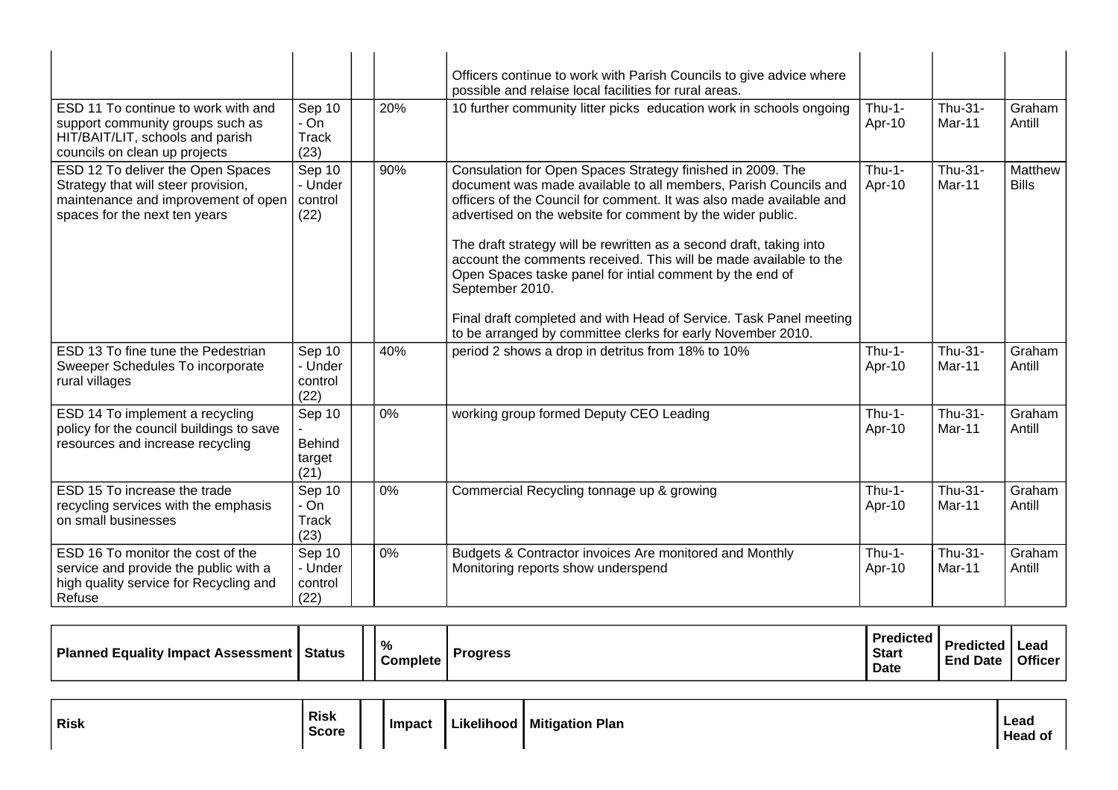| ESD 11 To continue to work with and                                                                                                              | Sep 10                                    | 20%   | Officers continue to work with Parish Councils to give advice where<br>possible and relaise local facilities for rural areas.<br>10 further community litter picks education work in schools ongoing                                                                                                                                                                                                                                                                                                                                                                                                                               | $Thu-1-$           | Thu-31-           | Graham                  |
|--------------------------------------------------------------------------------------------------------------------------------------------------|-------------------------------------------|-------|------------------------------------------------------------------------------------------------------------------------------------------------------------------------------------------------------------------------------------------------------------------------------------------------------------------------------------------------------------------------------------------------------------------------------------------------------------------------------------------------------------------------------------------------------------------------------------------------------------------------------------|--------------------|-------------------|-------------------------|
| support community groups such as<br>HIT/BAIT/LIT, schools and parish<br>councils on clean up projects                                            | $- On$<br><b>Track</b><br>(23)            |       |                                                                                                                                                                                                                                                                                                                                                                                                                                                                                                                                                                                                                                    | Apr-10             | Mar-11            | Antill                  |
| ESD 12 To deliver the Open Spaces<br>Strategy that will steer provision,<br>maintenance and improvement of open<br>spaces for the next ten years | Sep 10<br>- Under<br>control<br>(22)      | 90%   | Consulation for Open Spaces Strategy finished in 2009. The<br>document was made available to all members, Parish Councils and<br>officers of the Council for comment. It was also made available and<br>advertised on the website for comment by the wider public.<br>The draft strategy will be rewritten as a second draft, taking into<br>account the comments received. This will be made available to the<br>Open Spaces taske panel for intial comment by the end of<br>September 2010.<br>Final draft completed and with Head of Service. Task Panel meeting<br>to be arranged by committee clerks for early November 2010. | $Thu-1-$<br>Apr-10 | Thu-31-<br>Mar-11 | Matthew<br><b>Bills</b> |
| ESD 13 To fine tune the Pedestrian<br>Sweeper Schedules To incorporate<br>rural villages                                                         | Sep 10<br>- Under<br>control<br>(22)      | 40%   | period 2 shows a drop in detritus from 18% to 10%                                                                                                                                                                                                                                                                                                                                                                                                                                                                                                                                                                                  | $Thu-1-$<br>Apr-10 | Thu-31-<br>Mar-11 | Graham<br>Antill        |
| ESD 14 To implement a recycling<br>policy for the council buildings to save<br>resources and increase recycling                                  | Sep 10<br><b>Behind</b><br>target<br>(21) | 0%    | working group formed Deputy CEO Leading                                                                                                                                                                                                                                                                                                                                                                                                                                                                                                                                                                                            | $Thu-1-$<br>Apr-10 | Thu-31-<br>Mar-11 | Graham<br>Antill        |
| ESD 15 To increase the trade<br>recycling services with the emphasis<br>on small businesses                                                      | Sep 10<br>- On<br><b>Track</b><br>(23)    | 0%    | Commercial Recycling tonnage up & growing                                                                                                                                                                                                                                                                                                                                                                                                                                                                                                                                                                                          | $Thu-1-$<br>Apr-10 | Thu-31-<br>Mar-11 | Graham<br>Antill        |
| ESD 16 To monitor the cost of the<br>service and provide the public with a<br>high quality service for Recycling and<br>Refuse                   | Sep 10<br>- Under<br>control<br>(22)      | $0\%$ | Budgets & Contractor invoices Are monitored and Monthly<br>Monitoring reports show underspend                                                                                                                                                                                                                                                                                                                                                                                                                                                                                                                                      | $Thu-1-$<br>Apr-10 | Thu-31-<br>Mar-11 | Graham<br>Antill        |

| Planned Equality Impact Assessment | <b>Status</b> | $\frac{9}{6}$ | Complete ' | <b>Progress</b> | <b>Predicted</b><br><b>Start</b><br><b>Date</b> | <b>Predicted</b><br><b>End Date</b> | Lead<br><b>Officer</b> |
|------------------------------------|---------------|---------------|------------|-----------------|-------------------------------------------------|-------------------------------------|------------------------|
|------------------------------------|---------------|---------------|------------|-----------------|-------------------------------------------------|-------------------------------------|------------------------|

| <b>Risk</b> | <b>Risk</b><br><b>Score</b> |  | , Impact |  | <b>Likelihood   Mitigation Plan</b> | Lead<br>Head |
|-------------|-----------------------------|--|----------|--|-------------------------------------|--------------|
|-------------|-----------------------------|--|----------|--|-------------------------------------|--------------|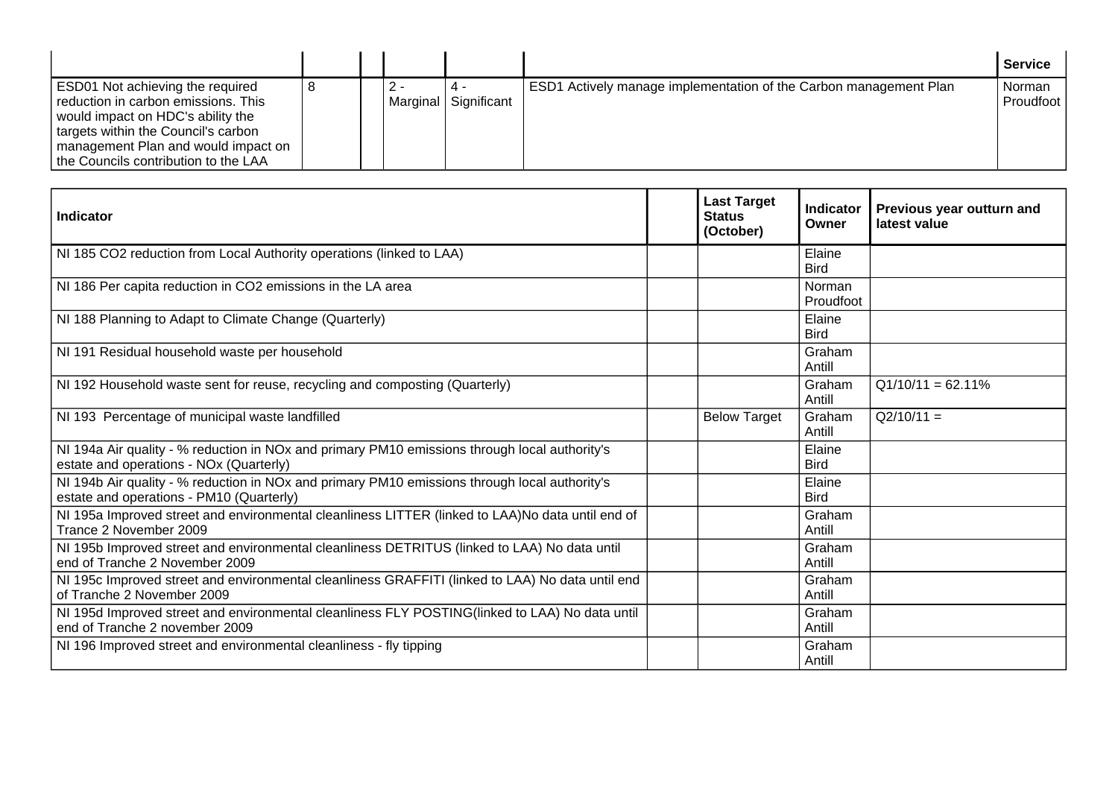|                                                                                                                                                                                                                                    |  |                      |                                                                          | <b>Service</b>      |
|------------------------------------------------------------------------------------------------------------------------------------------------------------------------------------------------------------------------------------|--|----------------------|--------------------------------------------------------------------------|---------------------|
| ESD01 Not achieving the required<br>reduction in carbon emissions. This<br>would impact on HDC's ability the<br>targets within the Council's carbon<br>management Plan and would impact on<br>the Councils contribution to the LAA |  | Marginal Significant | <b>ESD1</b> Actively manage implementation of the Carbon management Plan | Norman<br>Proudfoot |

| <b>Indicator</b>                                                                                                                          | <b>Last Target</b><br><b>Status</b><br>(October) | <b>Indicator</b><br>Owner | Previous year outturn and<br>latest value |
|-------------------------------------------------------------------------------------------------------------------------------------------|--------------------------------------------------|---------------------------|-------------------------------------------|
| NI 185 CO2 reduction from Local Authority operations (linked to LAA)                                                                      |                                                  | Elaine<br><b>Bird</b>     |                                           |
| NI 186 Per capita reduction in CO2 emissions in the LA area                                                                               |                                                  | Norman<br>Proudfoot       |                                           |
| NI 188 Planning to Adapt to Climate Change (Quarterly)                                                                                    |                                                  | Elaine<br><b>Bird</b>     |                                           |
| NI 191 Residual household waste per household                                                                                             |                                                  | Graham<br>Antill          |                                           |
| NI 192 Household waste sent for reuse, recycling and composting (Quarterly)                                                               |                                                  | Graham<br>Antill          | $Q1/10/11 = 62.11%$                       |
| NI 193 Percentage of municipal waste landfilled                                                                                           | <b>Below Target</b>                              | Graham<br>Antill          | $Q2/10/11 =$                              |
| NI 194a Air quality - % reduction in NOx and primary PM10 emissions through local authority's<br>estate and operations - NOx (Quarterly)  |                                                  | Elaine<br><b>Bird</b>     |                                           |
| NI 194b Air quality - % reduction in NOx and primary PM10 emissions through local authority's<br>estate and operations - PM10 (Quarterly) |                                                  | Elaine<br><b>Bird</b>     |                                           |
| NI 195a Improved street and environmental cleanliness LITTER (linked to LAA)No data until end of<br>Trance 2 November 2009                |                                                  | Graham<br>Antill          |                                           |
| NI 195b Improved street and environmental cleanliness DETRITUS (linked to LAA) No data until<br>end of Tranche 2 November 2009            |                                                  | Graham<br>Antill          |                                           |
| NI 195c Improved street and environmental cleanliness GRAFFITI (linked to LAA) No data until end<br>of Tranche 2 November 2009            |                                                  | Graham<br>Antill          |                                           |
| NI 195d Improved street and environmental cleanliness FLY POSTING(linked to LAA) No data until<br>end of Tranche 2 november 2009          |                                                  | Graham<br>Antill          |                                           |
| NI 196 Improved street and environmental cleanliness - fly tipping                                                                        |                                                  | Graham<br>Antill          |                                           |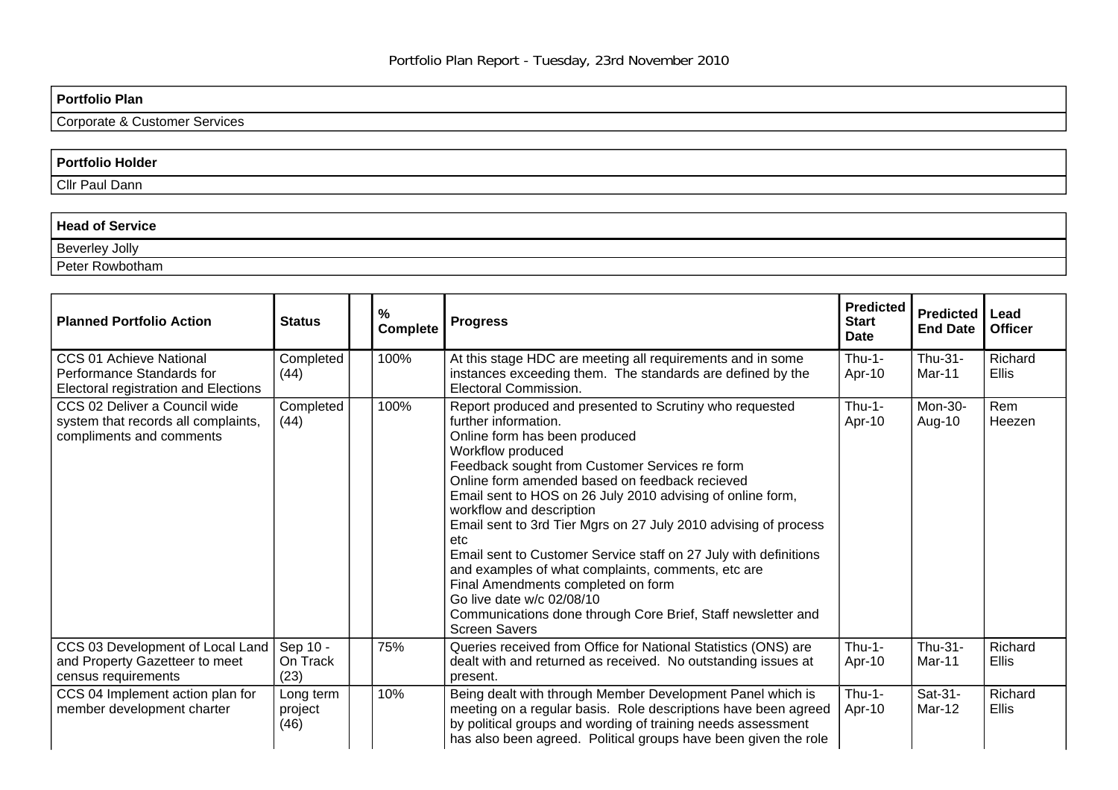Corporate & Customer Services

# **Portfolio Holder**  Cllr Paul Dann

## **Head of Service**  Beverley Jolly Peter Rowbotham

| <b>Planned Portfolio Action</b>                                                                  | <b>Status</b>                | %<br><b>Complete</b> | <b>Progress</b>                                                                                                                                                                                                                                                                                                                                                                                                                                                                                                                                                                                                                                                                                    | <b>Predicted</b><br><b>Start</b><br><b>Date</b> | <b>Predicted</b><br><b>End Date</b> | Lead<br><b>Officer</b> |
|--------------------------------------------------------------------------------------------------|------------------------------|----------------------|----------------------------------------------------------------------------------------------------------------------------------------------------------------------------------------------------------------------------------------------------------------------------------------------------------------------------------------------------------------------------------------------------------------------------------------------------------------------------------------------------------------------------------------------------------------------------------------------------------------------------------------------------------------------------------------------------|-------------------------------------------------|-------------------------------------|------------------------|
| CCS 01 Achieve National<br>Performance Standards for<br>Electoral registration and Elections     | Completed<br>(44)            | 100%                 | At this stage HDC are meeting all requirements and in some<br>instances exceeding them. The standards are defined by the<br>Electoral Commission.                                                                                                                                                                                                                                                                                                                                                                                                                                                                                                                                                  | $T$ hu-1-<br>Apr-10                             | Thu-31-<br>Mar-11                   | Richard<br>Ellis       |
| CCS 02 Deliver a Council wide<br>system that records all complaints,<br>compliments and comments | Completed<br>(44)            | 100%                 | Report produced and presented to Scrutiny who requested<br>further information.<br>Online form has been produced<br>Workflow produced<br>Feedback sought from Customer Services re form<br>Online form amended based on feedback recieved<br>Email sent to HOS on 26 July 2010 advising of online form,<br>workflow and description<br>Email sent to 3rd Tier Mgrs on 27 July 2010 advising of process<br>etc<br>Email sent to Customer Service staff on 27 July with definitions<br>and examples of what complaints, comments, etc are<br>Final Amendments completed on form<br>Go live date w/c 02/08/10<br>Communications done through Core Brief, Staff newsletter and<br><b>Screen Savers</b> | $T$ hu-1-<br>Apr-10                             | Mon-30-<br>Aug-10                   | <b>Rem</b><br>Heezen   |
| CCS 03 Development of Local Land<br>and Property Gazetteer to meet<br>census requirements        | Sep 10 -<br>On Track<br>(23) | 75%                  | Queries received from Office for National Statistics (ONS) are<br>dealt with and returned as received. No outstanding issues at<br>present.                                                                                                                                                                                                                                                                                                                                                                                                                                                                                                                                                        | $Thu-1-$<br>Apr-10                              | Thu-31-<br>Mar-11                   | Richard<br>Ellis       |
| CCS 04 Implement action plan for<br>member development charter                                   | Long term<br>project<br>(46) | 10%                  | Being dealt with through Member Development Panel which is<br>meeting on a regular basis. Role descriptions have been agreed<br>by political groups and wording of training needs assessment<br>has also been agreed. Political groups have been given the role                                                                                                                                                                                                                                                                                                                                                                                                                                    | $Thu-1-$<br>Apr-10                              | Sat-31-<br>Mar-12                   | Richard<br>Ellis       |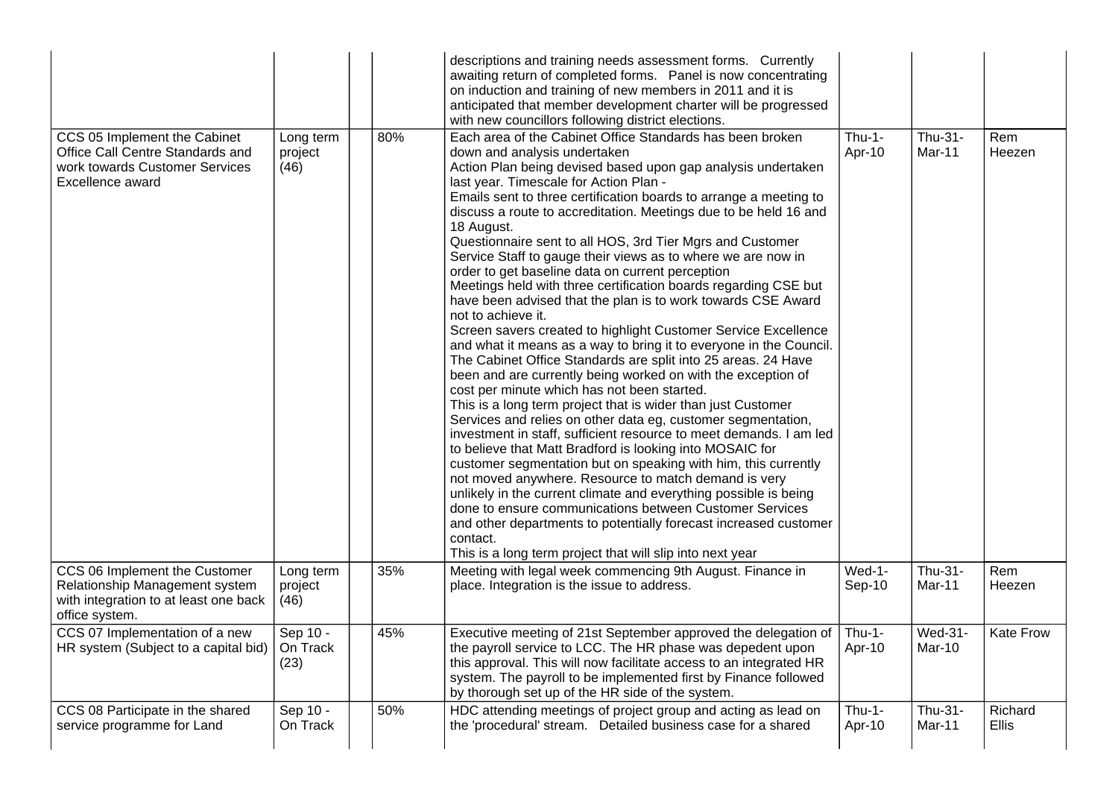|                                                                                                                            |                              |     | descriptions and training needs assessment forms. Currently<br>awaiting return of completed forms. Panel is now concentrating<br>on induction and training of new members in 2011 and it is<br>anticipated that member development charter will be progressed<br>with new councillors following district elections.                                                                                                                                                                                                                                                                                                                                                                                                                                                                                                                                                                                                                                                                                                                                                                                                                                                                                                                                                                                                                                                                                                                                                                                                                                                                                                                                                                                  |                    |                            |                  |
|----------------------------------------------------------------------------------------------------------------------------|------------------------------|-----|------------------------------------------------------------------------------------------------------------------------------------------------------------------------------------------------------------------------------------------------------------------------------------------------------------------------------------------------------------------------------------------------------------------------------------------------------------------------------------------------------------------------------------------------------------------------------------------------------------------------------------------------------------------------------------------------------------------------------------------------------------------------------------------------------------------------------------------------------------------------------------------------------------------------------------------------------------------------------------------------------------------------------------------------------------------------------------------------------------------------------------------------------------------------------------------------------------------------------------------------------------------------------------------------------------------------------------------------------------------------------------------------------------------------------------------------------------------------------------------------------------------------------------------------------------------------------------------------------------------------------------------------------------------------------------------------------|--------------------|----------------------------|------------------|
| CCS 05 Implement the Cabinet<br>Office Call Centre Standards and<br>work towards Customer Services<br>Excellence award     | Long term<br>project<br>(46) | 80% | Each area of the Cabinet Office Standards has been broken<br>down and analysis undertaken<br>Action Plan being devised based upon gap analysis undertaken<br>last year. Timescale for Action Plan -<br>Emails sent to three certification boards to arrange a meeting to<br>discuss a route to accreditation. Meetings due to be held 16 and<br>18 August.<br>Questionnaire sent to all HOS, 3rd Tier Mgrs and Customer<br>Service Staff to gauge their views as to where we are now in<br>order to get baseline data on current perception<br>Meetings held with three certification boards regarding CSE but<br>have been advised that the plan is to work towards CSE Award<br>not to achieve it.<br>Screen savers created to highlight Customer Service Excellence<br>and what it means as a way to bring it to everyone in the Council.<br>The Cabinet Office Standards are split into 25 areas. 24 Have<br>been and are currently being worked on with the exception of<br>cost per minute which has not been started.<br>This is a long term project that is wider than just Customer<br>Services and relies on other data eg, customer segmentation,<br>investment in staff, sufficient resource to meet demands. I am led<br>to believe that Matt Bradford is looking into MOSAIC for<br>customer segmentation but on speaking with him, this currently<br>not moved anywhere. Resource to match demand is very<br>unlikely in the current climate and everything possible is being<br>done to ensure communications between Customer Services<br>and other departments to potentially forecast increased customer<br>contact.<br>This is a long term project that will slip into next year | $Thu-1-$<br>Apr-10 | Thu-31-<br>Mar-11          | Rem<br>Heezen    |
| CCS 06 Implement the Customer<br>Relationship Management system<br>with integration to at least one back<br>office system. | Long term<br>project<br>(46) | 35% | Meeting with legal week commencing 9th August. Finance in<br>place. Integration is the issue to address.                                                                                                                                                                                                                                                                                                                                                                                                                                                                                                                                                                                                                                                                                                                                                                                                                                                                                                                                                                                                                                                                                                                                                                                                                                                                                                                                                                                                                                                                                                                                                                                             | Wed-1-<br>Sep-10   | Thu-31-<br>Mar-11          | Rem<br>Heezen    |
| CCS 07 Implementation of a new<br>HR system (Subject to a capital bid)                                                     | Sep 10 -<br>On Track<br>(23) | 45% | Executive meeting of 21st September approved the delegation of<br>the payroll service to LCC. The HR phase was depedent upon<br>this approval. This will now facilitate access to an integrated HR<br>system. The payroll to be implemented first by Finance followed<br>by thorough set up of the HR side of the system.                                                                                                                                                                                                                                                                                                                                                                                                                                                                                                                                                                                                                                                                                                                                                                                                                                                                                                                                                                                                                                                                                                                                                                                                                                                                                                                                                                            | $Thu-1-$<br>Apr-10 | <b>Wed-31-</b><br>$Mar-10$ | <b>Kate Frow</b> |
| CCS 08 Participate in the shared<br>service programme for Land                                                             | Sep 10 -<br>On Track         | 50% | HDC attending meetings of project group and acting as lead on<br>the 'procedural' stream. Detailed business case for a shared                                                                                                                                                                                                                                                                                                                                                                                                                                                                                                                                                                                                                                                                                                                                                                                                                                                                                                                                                                                                                                                                                                                                                                                                                                                                                                                                                                                                                                                                                                                                                                        | $Thu-1-$<br>Apr-10 | Thu-31-<br>Mar-11          | Richard<br>Ellis |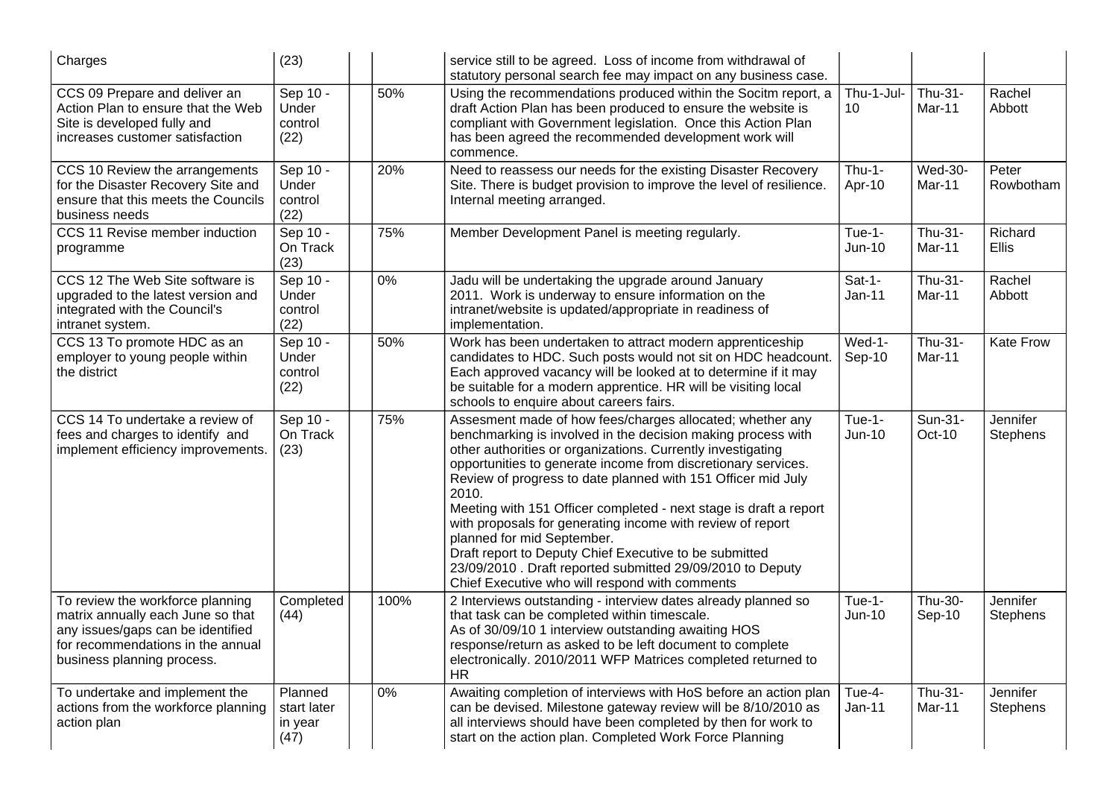| Charges                                                                                                                                                                       | (23)                                      |      | service still to be agreed. Loss of income from withdrawal of<br>statutory personal search fee may impact on any business case.                                                                                                                                                                                                                                                                                                                                                                                                                                                                                                                                               |                    |                          |                             |
|-------------------------------------------------------------------------------------------------------------------------------------------------------------------------------|-------------------------------------------|------|-------------------------------------------------------------------------------------------------------------------------------------------------------------------------------------------------------------------------------------------------------------------------------------------------------------------------------------------------------------------------------------------------------------------------------------------------------------------------------------------------------------------------------------------------------------------------------------------------------------------------------------------------------------------------------|--------------------|--------------------------|-----------------------------|
| CCS 09 Prepare and deliver an<br>Action Plan to ensure that the Web<br>Site is developed fully and<br>increases customer satisfaction                                         | Sep 10 -<br>Under<br>control<br>(22)      | 50%  | Using the recommendations produced within the Socitm report, a<br>draft Action Plan has been produced to ensure the website is<br>compliant with Government legislation. Once this Action Plan<br>has been agreed the recommended development work will<br>commence.                                                                                                                                                                                                                                                                                                                                                                                                          | Thu-1-Jul-<br>10   | Thu-31-<br>Mar-11        | Rachel<br>Abbott            |
| CCS 10 Review the arrangements<br>for the Disaster Recovery Site and<br>ensure that this meets the Councils<br>business needs                                                 | Sep 10 -<br>Under<br>control<br>(22)      | 20%  | Need to reassess our needs for the existing Disaster Recovery<br>Site. There is budget provision to improve the level of resilience.<br>Internal meeting arranged.                                                                                                                                                                                                                                                                                                                                                                                                                                                                                                            | $Thu-1-$<br>Apr-10 | <b>Wed-30-</b><br>Mar-11 | Peter<br>Rowbotham          |
| CCS 11 Revise member induction<br>programme                                                                                                                                   | Sep 10 -<br>On Track<br>(23)              | 75%  | Member Development Panel is meeting regularly.                                                                                                                                                                                                                                                                                                                                                                                                                                                                                                                                                                                                                                | Tue-1-<br>$Jun-10$ | Thu-31-<br>Mar-11        | Richard<br><b>Ellis</b>     |
| CCS 12 The Web Site software is<br>upgraded to the latest version and<br>integrated with the Council's<br>intranet system.                                                    | Sep 10 -<br>Under<br>control<br>(22)      | 0%   | Jadu will be undertaking the upgrade around January<br>2011. Work is underway to ensure information on the<br>intranet/website is updated/appropriate in readiness of<br>implementation.                                                                                                                                                                                                                                                                                                                                                                                                                                                                                      | $Sat-1-$<br>Jan-11 | Thu-31-<br>Mar-11        | Rachel<br>Abbott            |
| CCS 13 To promote HDC as an<br>employer to young people within<br>the district                                                                                                | Sep 10 -<br>Under<br>control<br>(22)      | 50%  | Work has been undertaken to attract modern apprenticeship<br>candidates to HDC. Such posts would not sit on HDC headcount.<br>Each approved vacancy will be looked at to determine if it may<br>be suitable for a modern apprentice. HR will be visiting local<br>schools to enquire about careers fairs.                                                                                                                                                                                                                                                                                                                                                                     | $Wed-1-$<br>Sep-10 | Thu-31-<br>Mar-11        | <b>Kate Frow</b>            |
| CCS 14 To undertake a review of<br>fees and charges to identify and<br>implement efficiency improvements.                                                                     | Sep 10 -<br>On Track<br>(23)              | 75%  | Assesment made of how fees/charges allocated; whether any<br>benchmarking is involved in the decision making process with<br>other authorities or organizations. Currently investigating<br>opportunities to generate income from discretionary services.<br>Review of progress to date planned with 151 Officer mid July<br>2010.<br>Meeting with 151 Officer completed - next stage is draft a report<br>with proposals for generating income with review of report<br>planned for mid September.<br>Draft report to Deputy Chief Executive to be submitted<br>23/09/2010 . Draft reported submitted 29/09/2010 to Deputy<br>Chief Executive who will respond with comments | Tue-1-<br>Jun-10   | Sun-31-<br>$Oct-10$      | Jennifer<br><b>Stephens</b> |
| To review the workforce planning<br>matrix annually each June so that<br>any issues/gaps can be identified<br>for recommendations in the annual<br>business planning process. | Completed<br>(44)                         | 100% | 2 Interviews outstanding - interview dates already planned so<br>that task can be completed within timescale.<br>As of 30/09/10 1 interview outstanding awaiting HOS<br>response/return as asked to be left document to complete<br>electronically. 2010/2011 WFP Matrices completed returned to<br>HR.                                                                                                                                                                                                                                                                                                                                                                       | Tue-1-<br>Jun-10   | Thu-30-<br>Sep-10        | Jennifer<br><b>Stephens</b> |
| To undertake and implement the<br>actions from the workforce planning<br>action plan                                                                                          | Planned<br>start later<br>in year<br>(47) | 0%   | Awaiting completion of interviews with HoS before an action plan<br>can be devised. Milestone gateway review will be 8/10/2010 as<br>all interviews should have been completed by then for work to<br>start on the action plan. Completed Work Force Planning                                                                                                                                                                                                                                                                                                                                                                                                                 | Tue-4-<br>Jan-11   | Thu-31-<br>Mar-11        | Jennifer<br>Stephens        |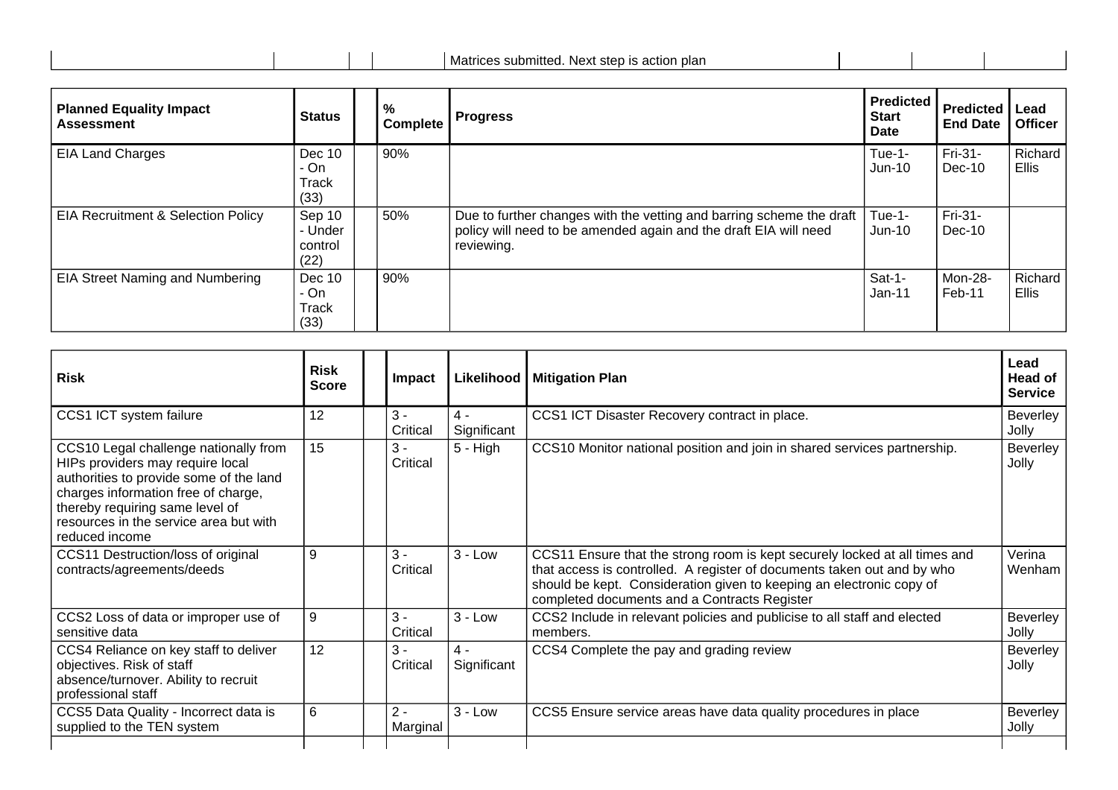|  |  | action plan<br>submitted<br>. Next ster<br><b>Matrices</b><br>$\sim$ |  |  |
|--|--|----------------------------------------------------------------------|--|--|
|  |  |                                                                      |  |  |

| <b>Planned Equality Impact</b><br><b>Assessment</b> | <b>Status</b>                          | %<br><b>Complete</b> | <b>Progress</b>                                                                                                                                        | <b>Predicted</b><br><b>Start</b><br><b>Date</b> | Predicted<br><b>End Date</b> | Lead<br><b>Officer</b>  |
|-----------------------------------------------------|----------------------------------------|----------------------|--------------------------------------------------------------------------------------------------------------------------------------------------------|-------------------------------------------------|------------------------------|-------------------------|
| <b>EIA Land Charges</b>                             | Dec 10<br>- On<br>Track<br>(33)        | 90%                  |                                                                                                                                                        | $Tue-1-$<br>$Jun-10$                            | Fri-31-<br>Dec-10            | Richard<br><b>Ellis</b> |
| EIA Recruitment & Selection Policy                  | Sep 10<br>- Under<br>control<br>(22)   | 50%                  | Due to further changes with the vetting and barring scheme the draft<br>policy will need to be amended again and the draft EIA will need<br>reviewing. | Tue-1-<br>Jun-10                                | Fri-31-<br>Dec-10            |                         |
| EIA Street Naming and Numbering                     | Dec 10<br>- On<br><b>Track</b><br>(33) | 90%                  |                                                                                                                                                        | Sat-1-<br>$Jan-11$                              | Mon-28-<br>Feb-11            | Richard<br><b>Ellis</b> |

| <b>Risk</b>                                                                                                                                                                                                                                                | Risk<br><b>Score</b> | Impact            | Likelihood           | <b>Mitigation Plan</b>                                                                                                                                                                                                                                                        | Lead<br><b>Head of</b><br><b>Service</b> |
|------------------------------------------------------------------------------------------------------------------------------------------------------------------------------------------------------------------------------------------------------------|----------------------|-------------------|----------------------|-------------------------------------------------------------------------------------------------------------------------------------------------------------------------------------------------------------------------------------------------------------------------------|------------------------------------------|
| CCS1 ICT system failure                                                                                                                                                                                                                                    | 12                   | $3 -$<br>Critical | 4 -<br>Significant   | CCS1 ICT Disaster Recovery contract in place.                                                                                                                                                                                                                                 | Beverley<br>Jolly                        |
| CCS10 Legal challenge nationally from<br>HIPs providers may require local<br>authorities to provide some of the land<br>charges information free of charge,<br>thereby requiring same level of<br>resources in the service area but with<br>reduced income | 15                   | $3 -$<br>Critical | $5 - High$           | CCS10 Monitor national position and join in shared services partnership.                                                                                                                                                                                                      | Beverley<br>Jolly                        |
| CCS11 Destruction/loss of original<br>contracts/agreements/deeds                                                                                                                                                                                           | 9                    | $3 -$<br>Critical | $3 - Low$            | CCS11 Ensure that the strong room is kept securely locked at all times and<br>that access is controlled. A register of documents taken out and by who<br>should be kept. Consideration given to keeping an electronic copy of<br>completed documents and a Contracts Register | Verina<br>Wenham                         |
| CCS2 Loss of data or improper use of<br>sensitive data                                                                                                                                                                                                     | 9                    | $3 -$<br>Critical | $3 - Low$            | CCS2 Include in relevant policies and publicise to all staff and elected<br>members.                                                                                                                                                                                          | Beverley<br>Jolly                        |
| CCS4 Reliance on key staff to deliver<br>objectives. Risk of staff<br>absence/turnover. Ability to recruit<br>professional staff                                                                                                                           | 12                   | $3 -$<br>Critical | $4 -$<br>Significant | CCS4 Complete the pay and grading review                                                                                                                                                                                                                                      | Beverley<br>Jolly                        |
| CCS5 Data Quality - Incorrect data is<br>supplied to the TEN system                                                                                                                                                                                        | 6                    | $2 -$<br>Marginal | $3 - Low$            | CCS5 Ensure service areas have data quality procedures in place                                                                                                                                                                                                               | Beverley<br>Jolly                        |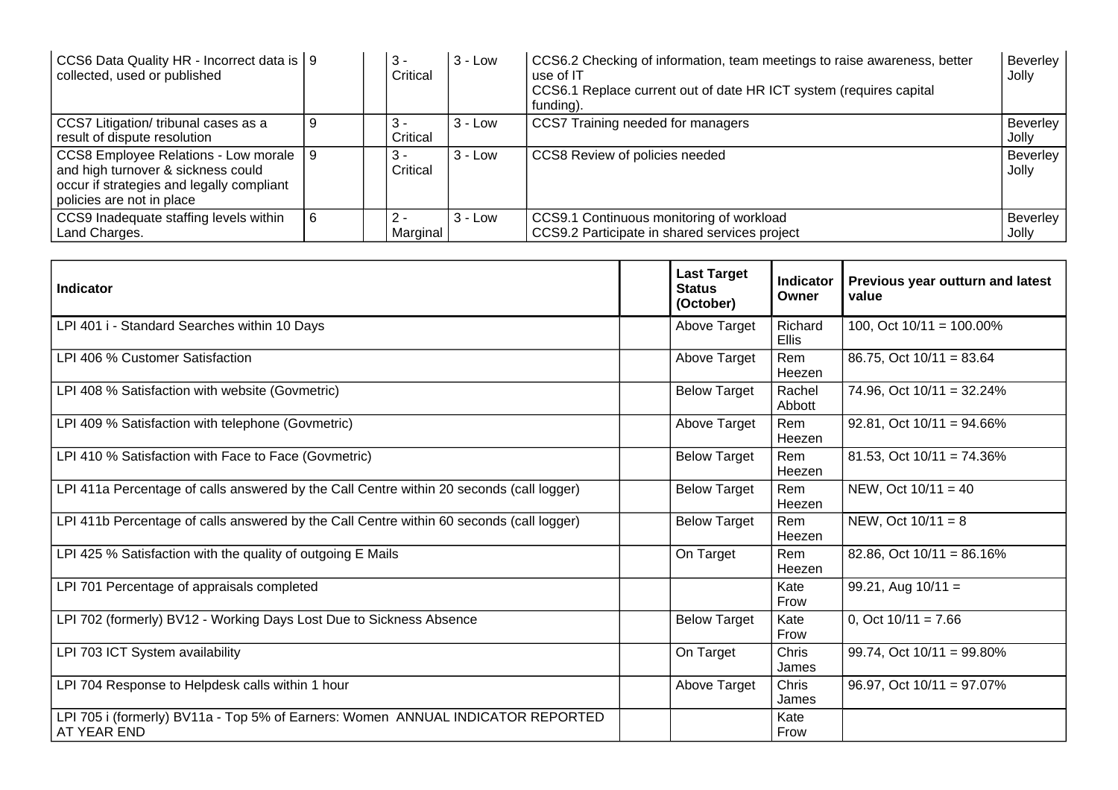| CCS6 Data Quality HR - Incorrect data is   9<br>collected, used or published                                                                           |   | $3 -$<br>Critical | $3 - Low$ | CCS6.2 Checking of information, team meetings to raise awareness, better<br>use of IT<br>CCS6.1 Replace current out of date HR ICT system (requires capital<br>funding). | Beverley<br>Jolly |
|--------------------------------------------------------------------------------------------------------------------------------------------------------|---|-------------------|-----------|--------------------------------------------------------------------------------------------------------------------------------------------------------------------------|-------------------|
| CCS7 Litigation/ tribunal cases as a<br>result of dispute resolution                                                                                   | 9 | $3 -$<br>Critical | $3 - Low$ | CCS7 Training needed for managers                                                                                                                                        | Beverley<br>Jolly |
| CCS8 Employee Relations - Low morale  <br>and high turnover & sickness could<br>occur if strategies and legally compliant<br>policies are not in place |   | $3 -$<br>Critical | $3 - Low$ | CCS8 Review of policies needed                                                                                                                                           | Beverley<br>Jolly |
| CCS9 Inadequate staffing levels within<br>Land Charges.                                                                                                | 6 | $2 -$<br>Marginal | $3 - Low$ | CCS9.1 Continuous monitoring of workload<br>CCS9.2 Participate in shared services project                                                                                | Beverley<br>Jolly |

| <b>Indicator</b>                                                                               | <b>Last Target</b><br><b>Status</b><br>(October) | <b>Indicator</b><br>Owner | Previous year outturn and latest<br>value |
|------------------------------------------------------------------------------------------------|--------------------------------------------------|---------------------------|-------------------------------------------|
| LPI 401 i - Standard Searches within 10 Days                                                   | Above Target                                     | Richard<br><b>Ellis</b>   | 100, Oct $10/11 = 100.00\%$               |
| LPI 406 % Customer Satisfaction                                                                | Above Target                                     | Rem<br>Heezen             | 86.75, Oct $10/11 = 83.64$                |
| LPI 408 % Satisfaction with website (Govmetric)                                                | <b>Below Target</b>                              | Rachel<br>Abbott          | 74.96, Oct 10/11 = 32.24%                 |
| LPI 409 % Satisfaction with telephone (Govmetric)                                              | Above Target                                     | Rem<br>Heezen             | 92.81, Oct $10/11 = 94.66\%$              |
| LPI 410 % Satisfaction with Face to Face (Govmetric)                                           | <b>Below Target</b>                              | Rem<br>Heezen             | 81.53, Oct $10/11 = 74.36\%$              |
| LPI 411a Percentage of calls answered by the Call Centre within 20 seconds (call logger)       | <b>Below Target</b>                              | Rem<br>Heezen             | NEW, Oct $10/11 = 40$                     |
| LPI 411b Percentage of calls answered by the Call Centre within 60 seconds (call logger)       | <b>Below Target</b>                              | Rem<br>Heezen             | NEW, Oct $10/11 = 8$                      |
| LPI 425 % Satisfaction with the quality of outgoing E Mails                                    | On Target                                        | Rem<br>Heezen             | 82.86, Oct $10/11 = 86.16\%$              |
| LPI 701 Percentage of appraisals completed                                                     |                                                  | Kate<br>Frow              | 99.21, Aug $10/11 =$                      |
| LPI 702 (formerly) BV12 - Working Days Lost Due to Sickness Absence                            | <b>Below Target</b>                              | Kate<br>Frow              | 0, Oct $10/11 = 7.66$                     |
| LPI 703 ICT System availability                                                                | On Target                                        | Chris<br>James            | 99.74, Oct $10/11 = 99.80\%$              |
| LPI 704 Response to Helpdesk calls within 1 hour                                               | Above Target                                     | Chris<br>James            | 96.97, Oct $10/11 = 97.07\%$              |
| LPI 705 i (formerly) BV11a - Top 5% of Earners: Women ANNUAL INDICATOR REPORTED<br>AT YEAR END |                                                  | Kate<br>Frow              |                                           |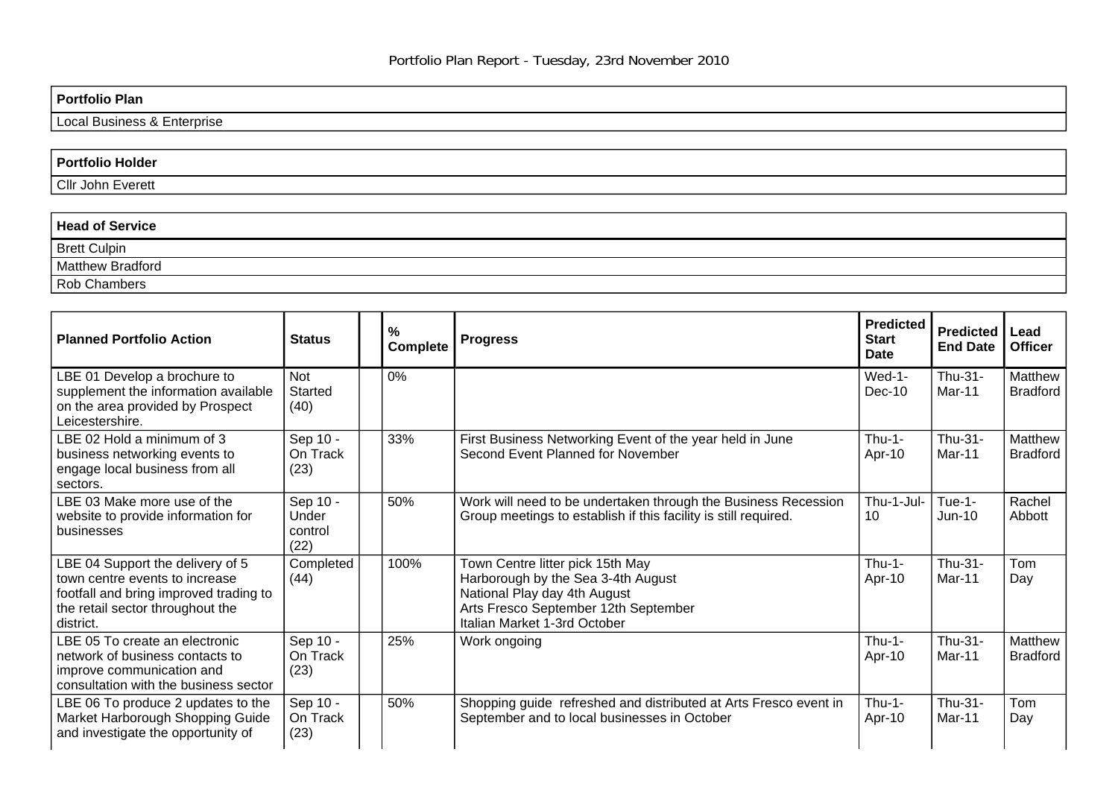Local Business & Enterprise

# **Portfolio Holder**  Cllr John Everett

| <b>Head of Service</b> |
|------------------------|
| <b>Brett Culpin</b>    |
| Matthew Bradford       |
| Rob Chambers           |

| <b>Planned Portfolio Action</b>                                                                                                                               | <b>Status</b>                        | $\%$<br><b>Complete</b> | <b>Progress</b>                                                                                                                                                                | <b>Predicted</b><br><b>Start</b><br>Date | <b>Predicted</b><br><b>End Date</b> | Lead<br><b>Officer</b>     |
|---------------------------------------------------------------------------------------------------------------------------------------------------------------|--------------------------------------|-------------------------|--------------------------------------------------------------------------------------------------------------------------------------------------------------------------------|------------------------------------------|-------------------------------------|----------------------------|
| LBE 01 Develop a brochure to<br>supplement the information available<br>on the area provided by Prospect<br>Leicestershire.                                   | <b>Not</b><br>Started<br>(40)        | 0%                      |                                                                                                                                                                                | Wed-1-<br>$Dec-10$                       | Thu-31-<br>Mar-11                   | Matthew<br><b>Bradford</b> |
| LBE 02 Hold a minimum of 3<br>business networking events to<br>engage local business from all<br>sectors.                                                     | Sep 10 -<br>On Track<br>(23)         | 33%                     | First Business Networking Event of the year held in June<br>Second Event Planned for November                                                                                  | $Thu-1-$<br>Apr-10                       | Thu-31-<br>Mar-11                   | Matthew<br><b>Bradford</b> |
| LBE 03 Make more use of the<br>website to provide information for<br>businesses                                                                               | Sep 10 -<br>Under<br>control<br>(22) | 50%                     | Work will need to be undertaken through the Business Recession<br>Group meetings to establish if this facility is still required.                                              | Thu-1-Jul-<br>10                         | Tue-1-<br>$Jun-10$                  | Rachel<br>Abbott           |
| LBE 04 Support the delivery of 5<br>town centre events to increase<br>footfall and bring improved trading to<br>the retail sector throughout the<br>district. | Completed<br>(44)                    | 100%                    | Town Centre litter pick 15th May<br>Harborough by the Sea 3-4th August<br>National Play day 4th August<br>Arts Fresco September 12th September<br>Italian Market 1-3rd October | $Thu-1-$<br>Apr-10                       | Thu-31-<br>Mar-11                   | Tom<br>Day                 |
| LBE 05 To create an electronic<br>network of business contacts to<br>improve communication and<br>consultation with the business sector                       | Sep 10 -<br>On Track<br>(23)         | 25%                     | Work ongoing                                                                                                                                                                   | $Thu-1-$<br>Apr-10                       | Thu-31-<br>Mar-11                   | Matthew<br><b>Bradford</b> |
| LBE 06 To produce 2 updates to the<br>Market Harborough Shopping Guide<br>and investigate the opportunity of                                                  | Sep 10 -<br>On Track<br>(23)         | 50%                     | Shopping guide refreshed and distributed at Arts Fresco event in<br>September and to local businesses in October                                                               | $Thu-1-$<br>Apr-10                       | Thu-31-<br>Mar-11                   | Tom<br>Day                 |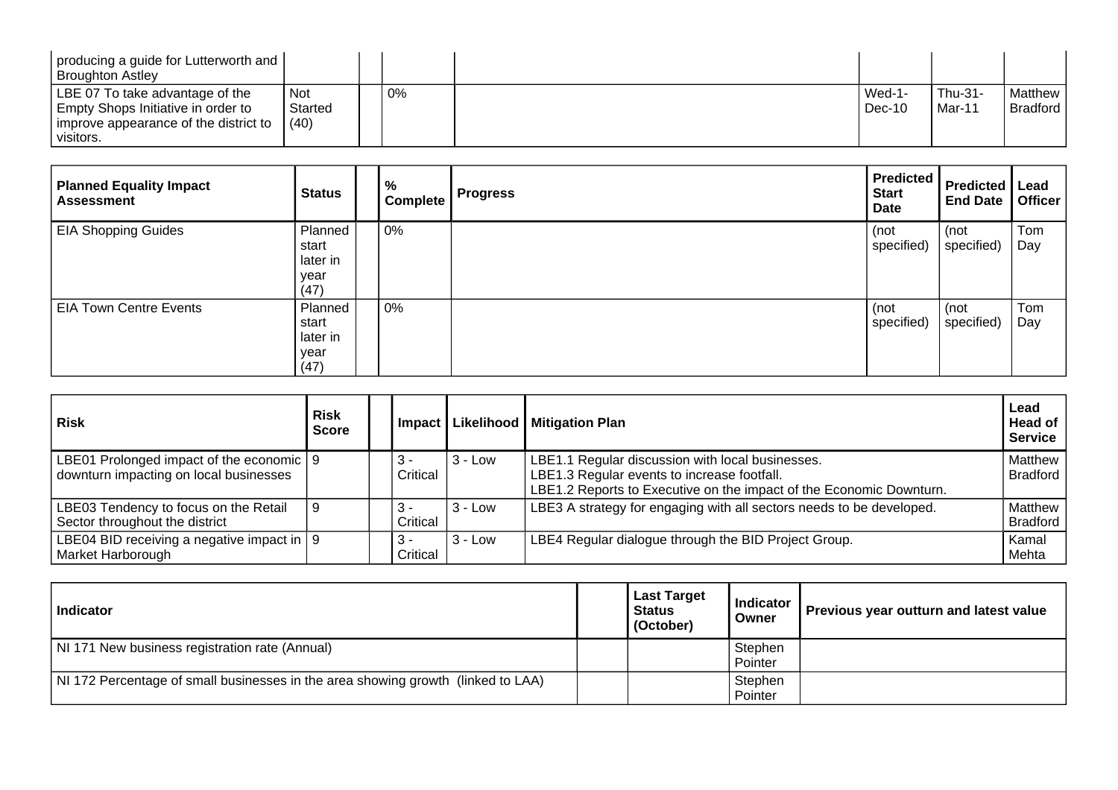| producing a guide for Lutterworth and  <br><b>Broughton Astley</b>                                                                               |                       |    |                  |                     |                     |
|--------------------------------------------------------------------------------------------------------------------------------------------------|-----------------------|----|------------------|---------------------|---------------------|
| LBE 07 To take advantage of the<br>Empty Shops Initiative in order to<br>$\vert$ improve appearance of the district to $\vert$ (40)<br>visitors. | <b>Not</b><br>Started | 0% | Wed-1-<br>Dec-10 | $Thu-31-$<br>Mar-11 | Matthew<br>Bradford |

| <b>Planned Equality Impact</b><br><b>Assessment</b> | <b>Status</b>                                | $\frac{9}{6}$<br><b>Complete</b> | <b>Progress</b> | <b>Predicted</b><br><b>Start</b><br>Date | <b>Predicted   Lead</b><br><b>End Date</b> | <b>Officer</b> |
|-----------------------------------------------------|----------------------------------------------|----------------------------------|-----------------|------------------------------------------|--------------------------------------------|----------------|
| <b>EIA Shopping Guides</b>                          | Planned<br>start<br>later in<br>year<br>(47) | 0%                               |                 | (not<br>specified)                       | (not<br>specified)                         | Tom<br>Day     |
| <b>EIA Town Centre Events</b>                       | Planned<br>start<br>later in<br>year<br>(47) | 0%                               |                 | (not<br>specified)                       | (not<br>specified)                         | Tom<br>Day     |

| <b>Risk</b>                                                                          | <b>Risk</b><br><b>Score</b> |                   |           | Impact   Likelihood   Mitigation Plan                                                                                                                                  | Lead<br>Head of<br><b>Service</b> |
|--------------------------------------------------------------------------------------|-----------------------------|-------------------|-----------|------------------------------------------------------------------------------------------------------------------------------------------------------------------------|-----------------------------------|
| LBE01 Prolonged impact of the economic   9<br>downturn impacting on local businesses |                             | 3-<br>Critical    | $3 - Low$ | LBE1.1 Regular discussion with local businesses.<br>LBE1.3 Regular events to increase footfall.<br>LBE1.2 Reports to Executive on the impact of the Economic Downturn. | Matthew<br>Bradford               |
| LBE03 Tendency to focus on the Retail<br>Sector throughout the district              |                             | -3<br>Critical    | $3 - Low$ | LBE3 A strategy for engaging with all sectors needs to be developed.                                                                                                   | Matthew<br><b>Bradford</b>        |
| LBE04 BID receiving a negative impact in $ 9 $<br>Market Harborough                  |                             | l 3 -<br>Critical | $3 - Low$ | LBE4 Regular dialogue through the BID Project Group.                                                                                                                   | Kamal<br>Mehta                    |

| Indicator                                                                        | <b>Last Target</b><br><b>Status</b><br>(October) | Indicator I<br>Owner | Previous year outturn and latest value |
|----------------------------------------------------------------------------------|--------------------------------------------------|----------------------|----------------------------------------|
| NI 171 New business registration rate (Annual)                                   |                                                  | Stephen<br>Pointer   |                                        |
| NI 172 Percentage of small businesses in the area showing growth (linked to LAA) |                                                  | Stephen<br>Pointer   |                                        |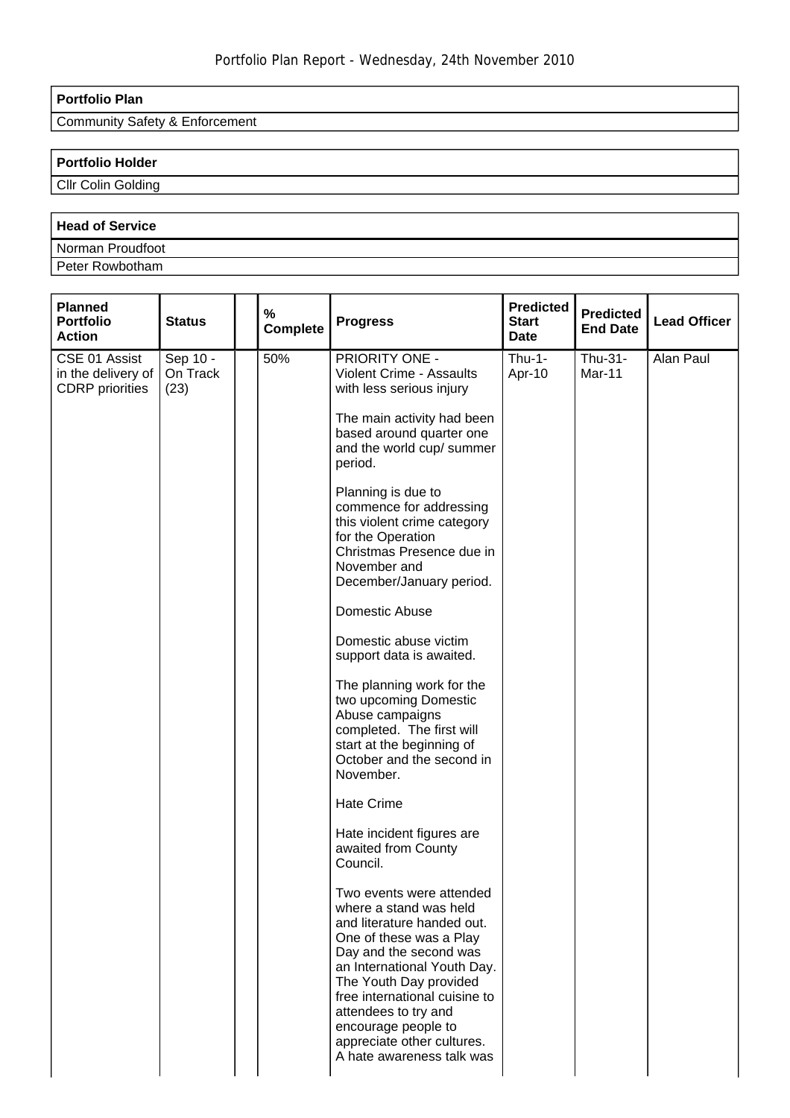## Community Safety & Enforcement

## **Portfolio Holder**

Cllr Colin Golding

| <b>Head of Service</b> |  |
|------------------------|--|
| Norman Proudfoot       |  |
| Peter Rowbotham        |  |

| <b>Planned</b><br><b>Portfolio</b><br><b>Action</b>           | <b>Status</b>                | $\%$<br><b>Complete</b> | <b>Progress</b>                                                                                                                                                                                                                                                                                                                           | <b>Predicted</b><br><b>Start</b><br>Date | <b>Predicted</b><br><b>End Date</b> | <b>Lead Officer</b> |
|---------------------------------------------------------------|------------------------------|-------------------------|-------------------------------------------------------------------------------------------------------------------------------------------------------------------------------------------------------------------------------------------------------------------------------------------------------------------------------------------|------------------------------------------|-------------------------------------|---------------------|
| CSE 01 Assist<br>in the delivery of<br><b>CDRP</b> priorities | Sep 10 -<br>On Track<br>(23) | 50%                     | PRIORITY ONE -<br><b>Violent Crime - Assaults</b><br>with less serious injury                                                                                                                                                                                                                                                             | $Thu-1-$<br>Apr-10                       | Thu-31-<br>Mar-11                   | Alan Paul           |
|                                                               |                              |                         | The main activity had been<br>based around quarter one<br>and the world cup/ summer<br>period.                                                                                                                                                                                                                                            |                                          |                                     |                     |
|                                                               |                              |                         | Planning is due to<br>commence for addressing<br>this violent crime category<br>for the Operation<br>Christmas Presence due in<br>November and<br>December/January period.                                                                                                                                                                |                                          |                                     |                     |
|                                                               |                              |                         | Domestic Abuse                                                                                                                                                                                                                                                                                                                            |                                          |                                     |                     |
|                                                               |                              |                         | Domestic abuse victim<br>support data is awaited.                                                                                                                                                                                                                                                                                         |                                          |                                     |                     |
|                                                               |                              |                         | The planning work for the<br>two upcoming Domestic<br>Abuse campaigns<br>completed. The first will<br>start at the beginning of<br>October and the second in<br>November.                                                                                                                                                                 |                                          |                                     |                     |
|                                                               |                              |                         | <b>Hate Crime</b>                                                                                                                                                                                                                                                                                                                         |                                          |                                     |                     |
|                                                               |                              |                         | Hate incident figures are<br>awaited from County<br>Council.                                                                                                                                                                                                                                                                              |                                          |                                     |                     |
|                                                               |                              |                         | Two events were attended<br>where a stand was held<br>and literature handed out.<br>One of these was a Play<br>Day and the second was<br>an International Youth Day.<br>The Youth Day provided<br>free international cuisine to<br>attendees to try and<br>encourage people to<br>appreciate other cultures.<br>A hate awareness talk was |                                          |                                     |                     |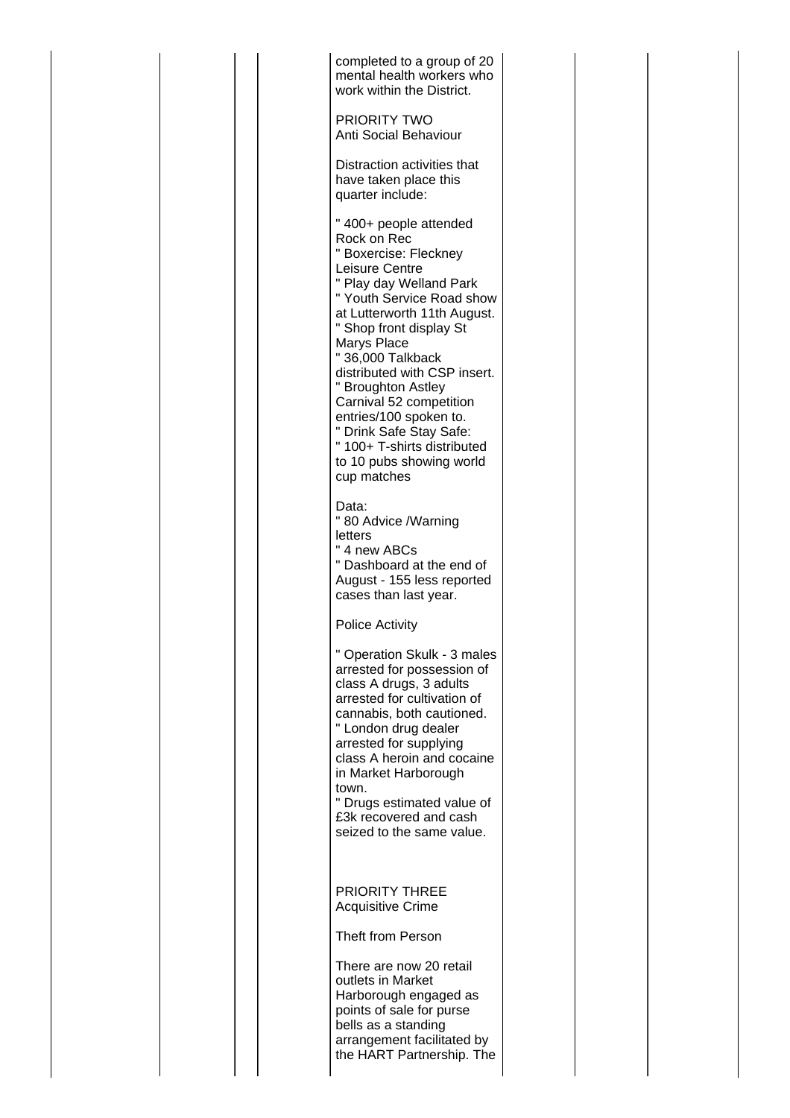| completed to a group of 20<br>mental health workers who<br>work within the District.                                                                                                                                                                                                                                                                                                                                                                  |  |
|-------------------------------------------------------------------------------------------------------------------------------------------------------------------------------------------------------------------------------------------------------------------------------------------------------------------------------------------------------------------------------------------------------------------------------------------------------|--|
| PRIORITY TWO<br>Anti Social Behaviour                                                                                                                                                                                                                                                                                                                                                                                                                 |  |
| Distraction activities that<br>have taken place this<br>quarter include:                                                                                                                                                                                                                                                                                                                                                                              |  |
| " 400+ people attended<br>Rock on Rec<br>" Boxercise: Fleckney<br>Leisure Centre<br>" Play day Welland Park<br>" Youth Service Road show<br>at Lutterworth 11th August.<br>" Shop front display St<br>Marys Place<br>"36,000 Talkback<br>distributed with CSP insert.<br>" Broughton Astley<br>Carnival 52 competition<br>entries/100 spoken to.<br>" Drink Safe Stay Safe:<br>" 100+ T-shirts distributed<br>to 10 pubs showing world<br>cup matches |  |
| Data:<br>" 80 Advice /Warning<br>letters<br>" 4 new ABCs<br>" Dashboard at the end of<br>August - 155 less reported<br>cases than last year.                                                                                                                                                                                                                                                                                                          |  |
| Police Activity                                                                                                                                                                                                                                                                                                                                                                                                                                       |  |
| Operation Skulk - 3 males<br>arrested for possession of<br>class A drugs, 3 adults<br>arrested for cultivation of<br>cannabis, both cautioned.<br>" London drug dealer<br>arrested for supplying<br>class A heroin and cocaine<br>in Market Harborough<br>town.<br>" Drugs estimated value of<br>£3k recovered and cash<br>seized to the same value.                                                                                                  |  |
| <b>PRIORITY THREE</b><br><b>Acquisitive Crime</b>                                                                                                                                                                                                                                                                                                                                                                                                     |  |
| Theft from Person                                                                                                                                                                                                                                                                                                                                                                                                                                     |  |
| There are now 20 retail<br>outlets in Market<br>Harborough engaged as<br>points of sale for purse<br>bells as a standing<br>arrangement facilitated by<br>the HART Partnership. The                                                                                                                                                                                                                                                                   |  |
|                                                                                                                                                                                                                                                                                                                                                                                                                                                       |  |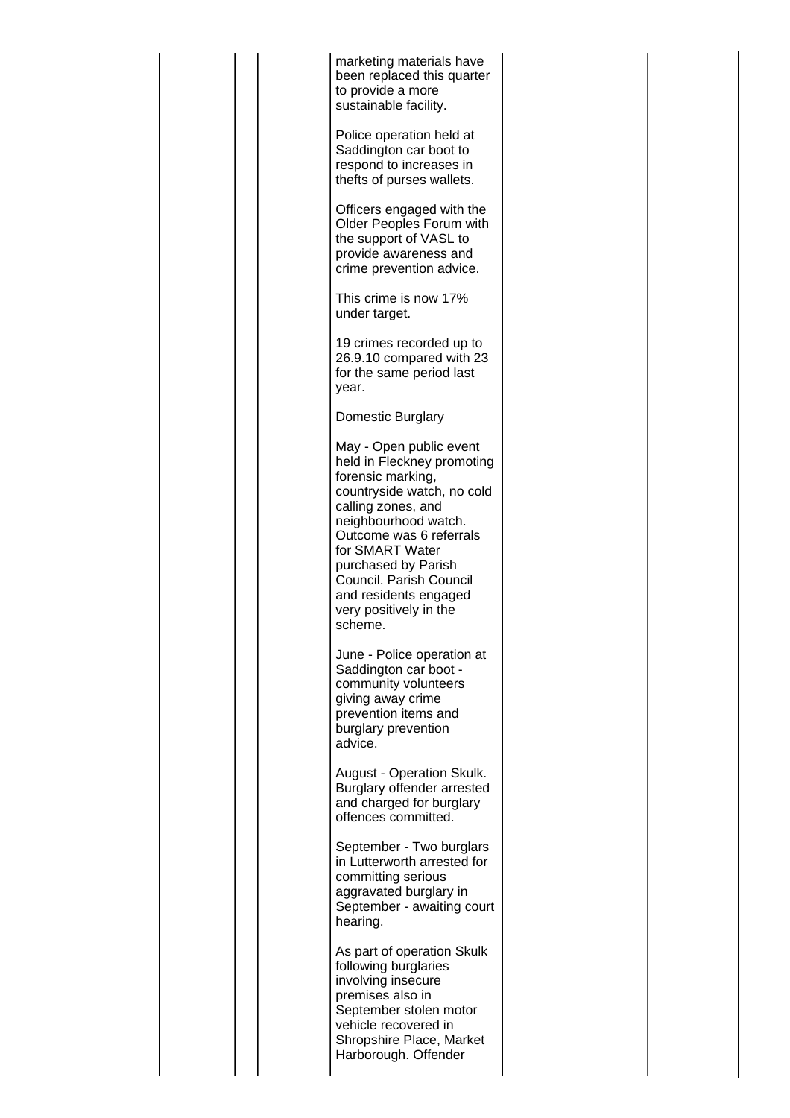| marketing materials have<br>been replaced this quarter<br>to provide a more<br>sustainable facility.                                                                                                                                                                                                                 |  |
|----------------------------------------------------------------------------------------------------------------------------------------------------------------------------------------------------------------------------------------------------------------------------------------------------------------------|--|
| Police operation held at<br>Saddington car boot to<br>respond to increases in<br>thefts of purses wallets.                                                                                                                                                                                                           |  |
| Officers engaged with the<br>Older Peoples Forum with<br>the support of VASL to<br>provide awareness and<br>crime prevention advice.                                                                                                                                                                                 |  |
| This crime is now 17%<br>under target.                                                                                                                                                                                                                                                                               |  |
| 19 crimes recorded up to<br>26.9.10 compared with 23<br>for the same period last<br>year.                                                                                                                                                                                                                            |  |
| <b>Domestic Burglary</b>                                                                                                                                                                                                                                                                                             |  |
| May - Open public event<br>held in Fleckney promoting<br>forensic marking,<br>countryside watch, no cold<br>calling zones, and<br>neighbourhood watch.<br>Outcome was 6 referrals<br>for SMART Water<br>purchased by Parish<br>Council. Parish Council<br>and residents engaged<br>very positively in the<br>scheme. |  |
| June - Police operation at<br>Saddington car boot -<br>community volunteers<br>giving away crime<br>prevention items and<br>burglary prevention<br>advice.                                                                                                                                                           |  |
| <b>August - Operation Skulk.</b><br>Burglary offender arrested<br>and charged for burglary<br>offences committed.                                                                                                                                                                                                    |  |
| September - Two burglars<br>in Lutterworth arrested for<br>committing serious<br>aggravated burglary in<br>September - awaiting court<br>hearing.                                                                                                                                                                    |  |
| As part of operation Skulk<br>following burglaries<br>involving insecure<br>premises also in<br>September stolen motor<br>vehicle recovered in<br>Shropshire Place, Market<br>Harborough. Offender                                                                                                                   |  |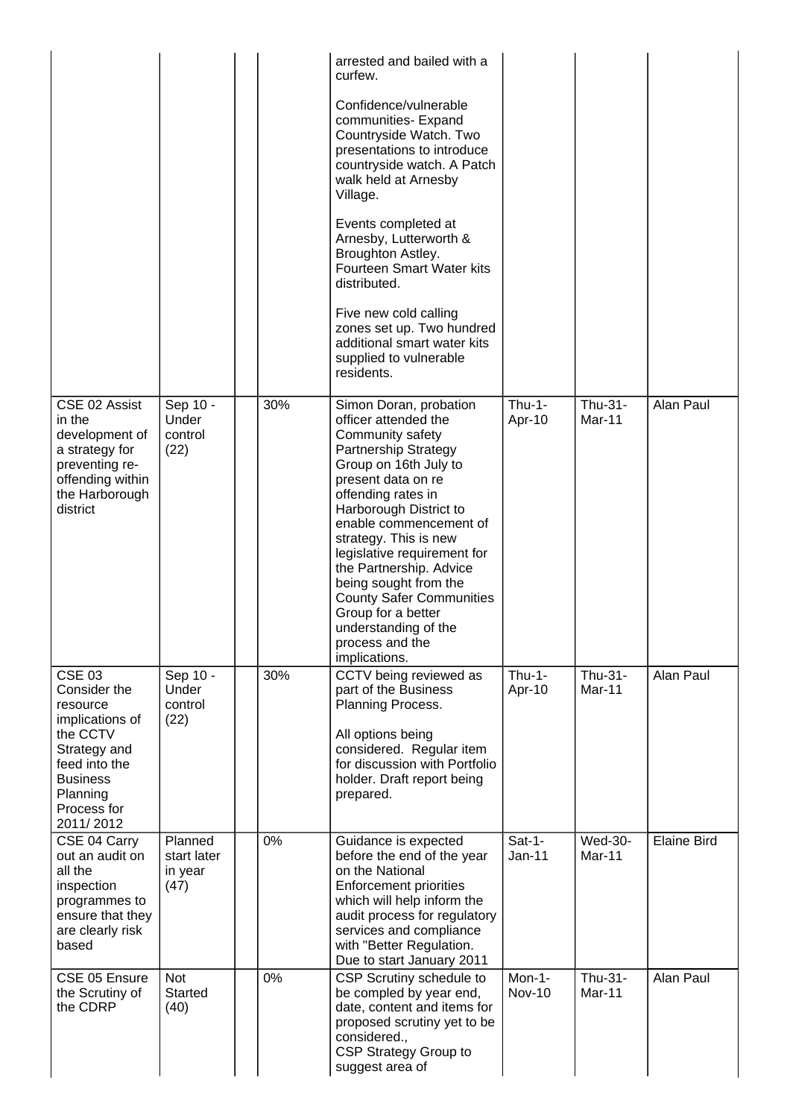|                                                                                                                                                                      |                                           |     | arrested and bailed with a<br>curfew.                                                                                                                                                                                                                                                                                                                                                                                                                       |                         |                          |                    |
|----------------------------------------------------------------------------------------------------------------------------------------------------------------------|-------------------------------------------|-----|-------------------------------------------------------------------------------------------------------------------------------------------------------------------------------------------------------------------------------------------------------------------------------------------------------------------------------------------------------------------------------------------------------------------------------------------------------------|-------------------------|--------------------------|--------------------|
|                                                                                                                                                                      |                                           |     | Confidence/vulnerable<br>communities- Expand<br>Countryside Watch. Two<br>presentations to introduce<br>countryside watch. A Patch<br>walk held at Arnesby<br>Village.                                                                                                                                                                                                                                                                                      |                         |                          |                    |
|                                                                                                                                                                      |                                           |     | Events completed at<br>Arnesby, Lutterworth &<br>Broughton Astley.<br><b>Fourteen Smart Water kits</b><br>distributed.                                                                                                                                                                                                                                                                                                                                      |                         |                          |                    |
|                                                                                                                                                                      |                                           |     | Five new cold calling<br>zones set up. Two hundred<br>additional smart water kits<br>supplied to vulnerable<br>residents.                                                                                                                                                                                                                                                                                                                                   |                         |                          |                    |
| CSE 02 Assist<br>in the<br>development of<br>a strategy for<br>preventing re-<br>offending within<br>the Harborough<br>district                                      | Sep 10 -<br>Under<br>control<br>(22)      | 30% | Simon Doran, probation<br>officer attended the<br>Community safety<br><b>Partnership Strategy</b><br>Group on 16th July to<br>present data on re<br>offending rates in<br>Harborough District to<br>enable commencement of<br>strategy. This is new<br>legislative requirement for<br>the Partnership. Advice<br>being sought from the<br><b>County Safer Communities</b><br>Group for a better<br>understanding of the<br>process and the<br>implications. | $Thu-1-$<br>Apr-10      | Thu-31-<br>Mar-11        | Alan Paul          |
| <b>CSE 03</b><br>Consider the<br>resource<br>implications of<br>the CCTV<br>Strategy and<br>feed into the<br><b>Business</b><br>Planning<br>Process for<br>2011/2012 | Sep 10 -<br>Under<br>control<br>(22)      | 30% | CCTV being reviewed as<br>part of the Business<br>Planning Process.<br>All options being<br>considered. Regular item<br>for discussion with Portfolio<br>holder. Draft report being<br>prepared.                                                                                                                                                                                                                                                            | $Thu-1-$<br>Apr-10      | Thu-31-<br>Mar-11        | Alan Paul          |
| CSE 04 Carry<br>out an audit on<br>all the<br>inspection<br>programmes to<br>ensure that they<br>are clearly risk<br>based                                           | Planned<br>start later<br>in year<br>(47) | 0%  | Guidance is expected<br>before the end of the year<br>on the National<br><b>Enforcement priorities</b><br>which will help inform the<br>audit process for regulatory<br>services and compliance<br>with "Better Regulation.<br>Due to start January 2011                                                                                                                                                                                                    | $Sat-1-$<br>$Jan-11$    | <b>Wed-30-</b><br>Mar-11 | <b>Elaine Bird</b> |
| CSE 05 Ensure<br>the Scrutiny of<br>the CDRP                                                                                                                         | <b>Not</b><br><b>Started</b><br>(40)      | 0%  | CSP Scrutiny schedule to<br>be compled by year end,<br>date, content and items for<br>proposed scrutiny yet to be<br>considered.,<br><b>CSP Strategy Group to</b><br>suggest area of                                                                                                                                                                                                                                                                        | Mon-1-<br><b>Nov-10</b> | Thu-31-<br>Mar-11        | Alan Paul          |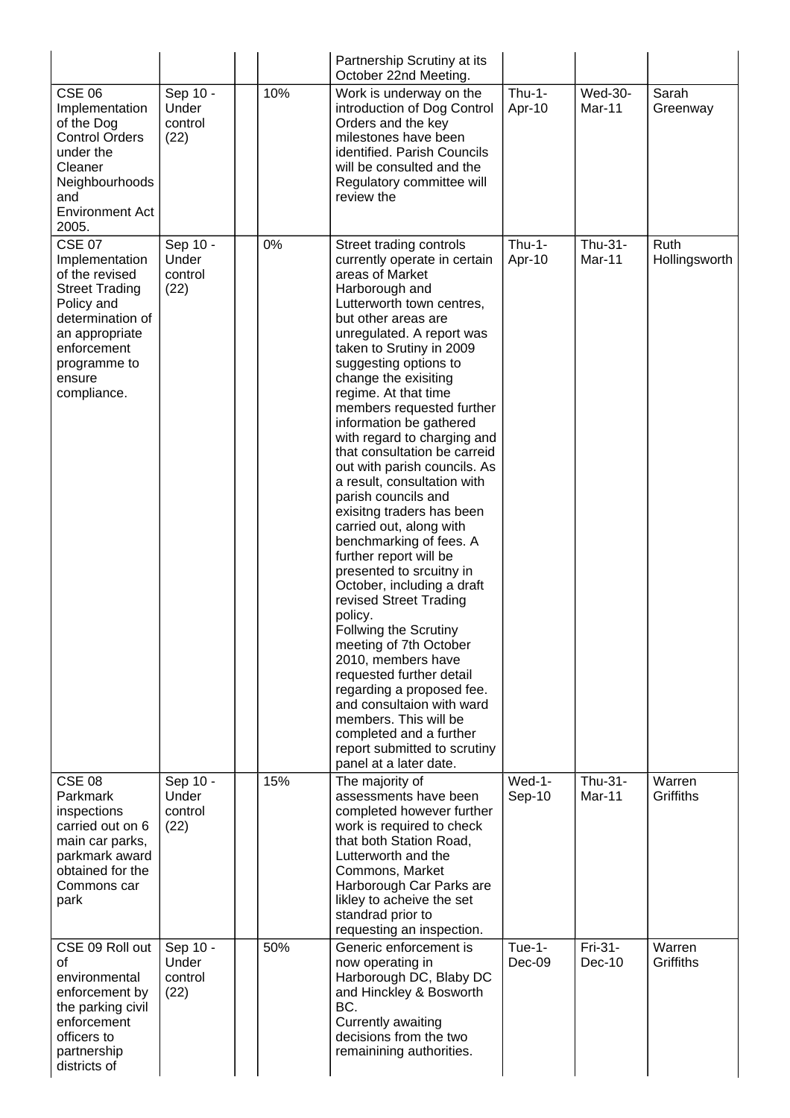|                                                                                                                                                                                        |                                      |     | Partnership Scrutiny at its<br>October 22nd Meeting.                                                                                                                                                                                                                                                                                                                                                                                                                                                                                                                                                                                                                                                                                                                                                                                                                                                                                                                                            |                         |                          |                       |
|----------------------------------------------------------------------------------------------------------------------------------------------------------------------------------------|--------------------------------------|-----|-------------------------------------------------------------------------------------------------------------------------------------------------------------------------------------------------------------------------------------------------------------------------------------------------------------------------------------------------------------------------------------------------------------------------------------------------------------------------------------------------------------------------------------------------------------------------------------------------------------------------------------------------------------------------------------------------------------------------------------------------------------------------------------------------------------------------------------------------------------------------------------------------------------------------------------------------------------------------------------------------|-------------------------|--------------------------|-----------------------|
| <b>CSE 06</b><br>Implementation<br>of the Dog<br><b>Control Orders</b><br>under the<br>Cleaner<br>Neighbourhoods<br>and<br><b>Environment Act</b><br>2005.                             | Sep 10 -<br>Under<br>control<br>(22) | 10% | Work is underway on the<br>introduction of Dog Control<br>Orders and the key<br>milestones have been<br>identified. Parish Councils<br>will be consulted and the<br>Regulatory committee will<br>review the                                                                                                                                                                                                                                                                                                                                                                                                                                                                                                                                                                                                                                                                                                                                                                                     | $Thu-1-$<br>Apr-10      | <b>Wed-30-</b><br>Mar-11 | Sarah<br>Greenway     |
| <b>CSE 07</b><br>Implementation<br>of the revised<br><b>Street Trading</b><br>Policy and<br>determination of<br>an appropriate<br>enforcement<br>programme to<br>ensure<br>compliance. | Sep 10 -<br>Under<br>control<br>(22) | 0%  | Street trading controls<br>currently operate in certain<br>areas of Market<br>Harborough and<br>Lutterworth town centres,<br>but other areas are<br>unregulated. A report was<br>taken to Srutiny in 2009<br>suggesting options to<br>change the exisiting<br>regime. At that time<br>members requested further<br>information be gathered<br>with regard to charging and<br>that consultation be carreid<br>out with parish councils. As<br>a result, consultation with<br>parish councils and<br>exisitng traders has been<br>carried out, along with<br>benchmarking of fees. A<br>further report will be<br>presented to srcuitny in<br>October, including a draft<br>revised Street Trading<br>policy.<br><b>Follwing the Scrutiny</b><br>meeting of 7th October<br>2010, members have<br>requested further detail<br>regarding a proposed fee.<br>and consultaion with ward<br>members. This will be<br>completed and a further<br>report submitted to scrutiny<br>panel at a later date. | $Thu-1-$<br>Apr-10      | Thu-31-<br>Mar-11        | Ruth<br>Hollingsworth |
| <b>CSE 08</b><br>Parkmark<br>inspections<br>carried out on 6<br>main car parks,<br>parkmark award<br>obtained for the<br>Commons car<br>park                                           | Sep 10 -<br>Under<br>control<br>(22) | 15% | The majority of<br>assessments have been<br>completed however further<br>work is required to check<br>that both Station Road,<br>Lutterworth and the<br>Commons, Market<br>Harborough Car Parks are<br>likley to acheive the set<br>standrad prior to<br>requesting an inspection.                                                                                                                                                                                                                                                                                                                                                                                                                                                                                                                                                                                                                                                                                                              | Wed-1-<br>Sep-10        | Thu-31-<br>Mar-11        | Warren<br>Griffiths   |
| CSE 09 Roll out<br>of<br>environmental<br>enforcement by<br>the parking civil<br>enforcement<br>officers to<br>partnership<br>districts of                                             | Sep 10 -<br>Under<br>control<br>(22) | 50% | Generic enforcement is<br>now operating in<br>Harborough DC, Blaby DC<br>and Hinckley & Bosworth<br>BC.<br>Currently awaiting<br>decisions from the two<br>remainining authorities.                                                                                                                                                                                                                                                                                                                                                                                                                                                                                                                                                                                                                                                                                                                                                                                                             | <b>Tue-1-</b><br>Dec-09 | Fri-31-<br>$Dec-10$      | Warren<br>Griffiths   |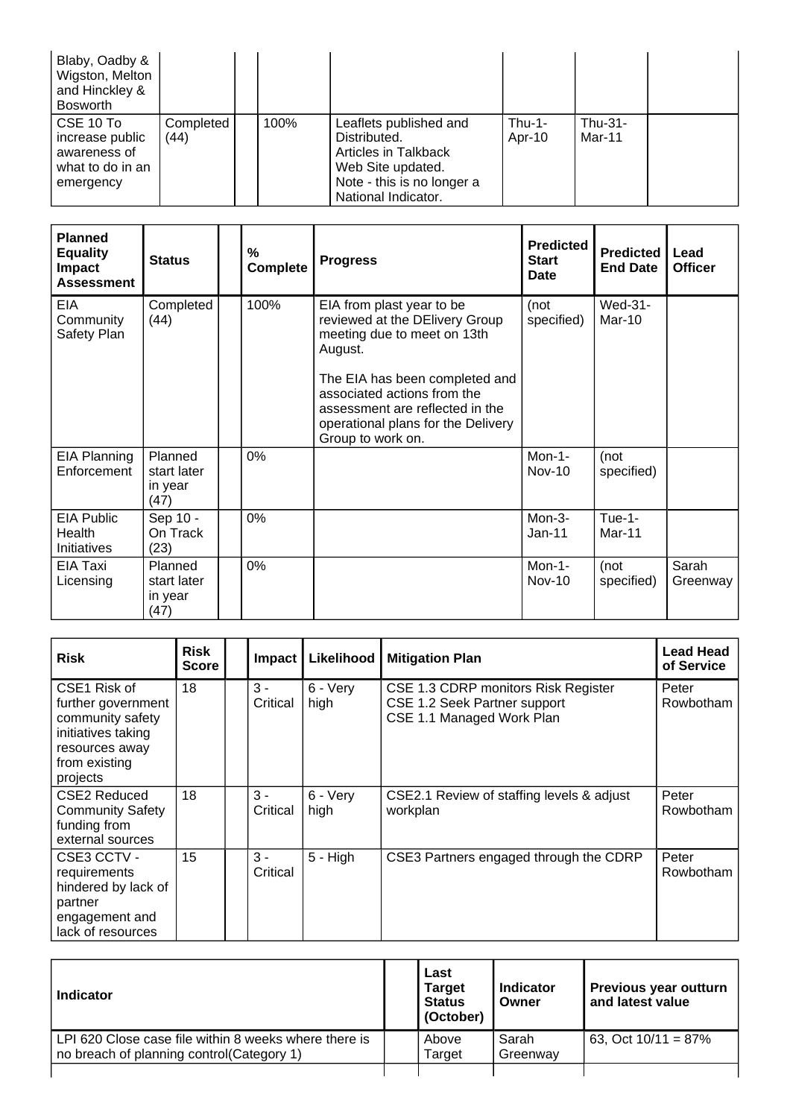| Blaby, Oadby &<br>Wigston, Melton<br>and Hinckley &<br><b>Bosworth</b>        |                   |      |                                                                                                                                          |                         |                      |  |
|-------------------------------------------------------------------------------|-------------------|------|------------------------------------------------------------------------------------------------------------------------------------------|-------------------------|----------------------|--|
| CSE 10 To<br>increase public<br>awareness of<br>what to do in an<br>emergency | Completed<br>(44) | 100% | Leaflets published and<br>Distributed.<br>Articles in Talkback<br>Web Site updated.<br>Note - this is no longer a<br>National Indicator. | <b>Thu-1-</b><br>Apr-10 | $T$ hu-31-<br>Mar-11 |  |

| <b>Planned</b><br><b>Equality</b><br>Impact<br><b>Assessment</b> | <b>Status</b>                             | %<br><b>Complete</b> | <b>Progress</b>                                                                                                                                                                                                                                                      | <b>Predicted</b><br><b>Start</b><br>Date | <b>Predicted</b><br><b>End Date</b> | Lead<br><b>Officer</b> |
|------------------------------------------------------------------|-------------------------------------------|----------------------|----------------------------------------------------------------------------------------------------------------------------------------------------------------------------------------------------------------------------------------------------------------------|------------------------------------------|-------------------------------------|------------------------|
| EIA<br>Community<br>Safety Plan                                  | Completed<br>(44)                         | 100%                 | EIA from plast year to be<br>reviewed at the DElivery Group<br>meeting due to meet on 13th<br>August.<br>The EIA has been completed and<br>associated actions from the<br>assessment are reflected in the<br>operational plans for the Delivery<br>Group to work on. | (not<br>specified)                       | Wed-31-<br>Mar-10                   |                        |
| <b>EIA Planning</b><br>Enforcement                               | Planned<br>start later<br>in year<br>(47) | 0%                   |                                                                                                                                                                                                                                                                      | Mon-1-<br><b>Nov-10</b>                  | (not<br>specified)                  |                        |
| EIA Public<br>Health<br>Initiatives                              | Sep 10 -<br>On Track<br>(23)              | 0%                   |                                                                                                                                                                                                                                                                      | Mon-3-<br>$Jan-11$                       | Tue-1-<br>Mar-11                    |                        |
| EIA Taxi<br>Licensing                                            | Planned<br>start later<br>in year<br>(47) | $0\%$                |                                                                                                                                                                                                                                                                      | Mon-1-<br><b>Nov-10</b>                  | (not<br>specified)                  | Sarah<br>Greenway      |

| <b>Risk</b>                                                                                                                 | <b>Risk</b><br><b>Score</b> | <b>Impact</b>     | Likelihood       | <b>Mitigation Plan</b>                                                                           | <b>Lead Head</b><br>of Service |
|-----------------------------------------------------------------------------------------------------------------------------|-----------------------------|-------------------|------------------|--------------------------------------------------------------------------------------------------|--------------------------------|
| CSE1 Risk of<br>further government<br>community safety<br>initiatives taking<br>resources away<br>from existing<br>projects | 18                          | $3 -$<br>Critical | 6 - Very<br>high | CSE 1.3 CDRP monitors Risk Register<br>CSE 1.2 Seek Partner support<br>CSE 1.1 Managed Work Plan | Peter<br>Rowbotham             |
| CSE2 Reduced<br><b>Community Safety</b><br>funding from<br>external sources                                                 | 18                          | $3 -$<br>Critical | 6 - Very<br>high | CSE2.1 Review of staffing levels & adjust<br>workplan                                            | Peter<br>Rowbotham             |
| CSE3 CCTV -<br>requirements<br>hindered by lack of<br>partner<br>engagement and<br>lack of resources                        | 15                          | $3 -$<br>Critical | $5 - High$       | CSE3 Partners engaged through the CDRP                                                           | Peter<br>Rowbotham             |

| <b>Indicator</b>                                                                                   | Last<br><b>Target</b><br><b>Status</b><br>(October) | <b>Indicator</b><br>Owner | Previous year outturn<br>and latest value |
|----------------------------------------------------------------------------------------------------|-----------------------------------------------------|---------------------------|-------------------------------------------|
| LPI 620 Close case file within 8 weeks where there is<br>no breach of planning control(Category 1) | Above<br>Target                                     | Sarah<br>Greenway         | 63, Oct $10/11 = 87\%$                    |
|                                                                                                    |                                                     |                           |                                           |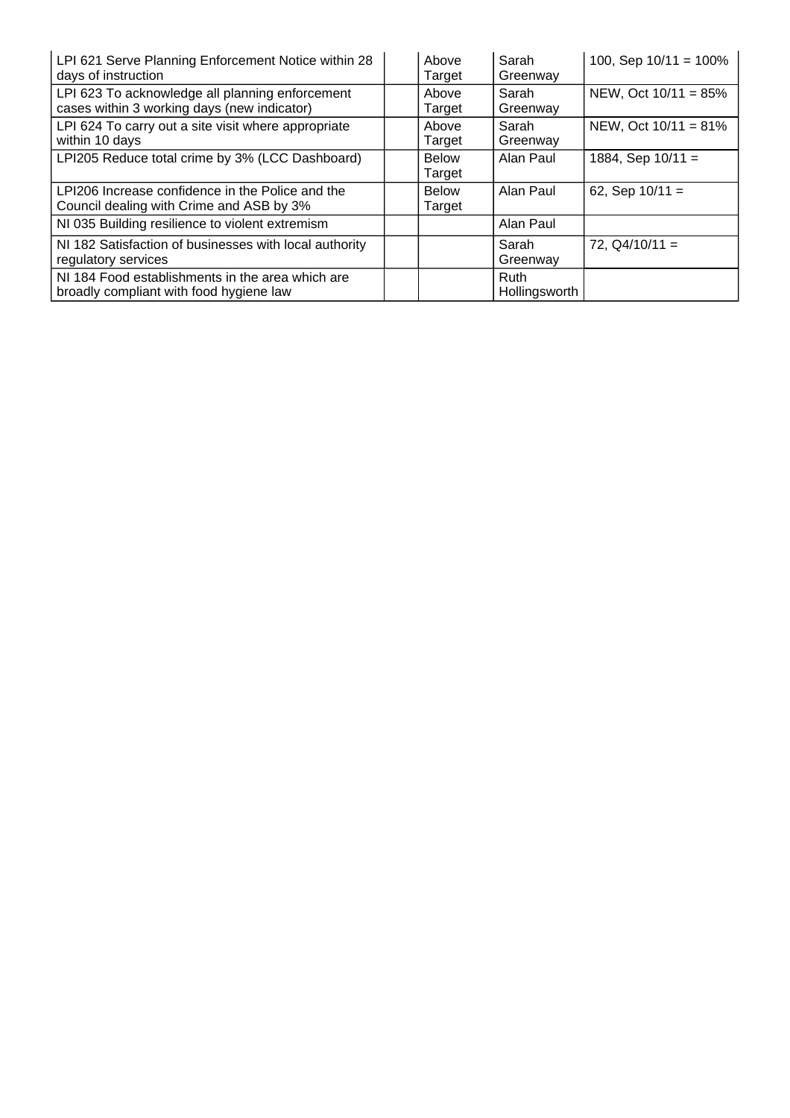| LPI 621 Serve Planning Enforcement Notice within 28<br>days of instruction                     | Above<br>Target        | Sarah<br>Greenway     | 100, Sep $10/11 = 100\%$ |
|------------------------------------------------------------------------------------------------|------------------------|-----------------------|--------------------------|
| LPI 623 To acknowledge all planning enforcement<br>cases within 3 working days (new indicator) | Above<br>Target        | Sarah<br>Greenway     | NEW, Oct 10/11 = 85%     |
| LPI 624 To carry out a site visit where appropriate<br>within 10 days                          | Above<br>Target        | Sarah<br>Greenway     | NEW, Oct 10/11 = 81%     |
| LPI205 Reduce total crime by 3% (LCC Dashboard)                                                | <b>Below</b><br>Target | Alan Paul             | 1884, Sep $10/11 =$      |
| LPI206 Increase confidence in the Police and the<br>Council dealing with Crime and ASB by 3%   | <b>Below</b><br>Target | Alan Paul             | 62, Sep $10/11 =$        |
| NI 035 Building resilience to violent extremism                                                |                        | Alan Paul             |                          |
| NI 182 Satisfaction of businesses with local authority<br>regulatory services                  |                        | Sarah<br>Greenway     | $72, Q4/10/11 =$         |
| NI 184 Food establishments in the area which are<br>broadly compliant with food hygiene law    |                        | Ruth<br>Hollingsworth |                          |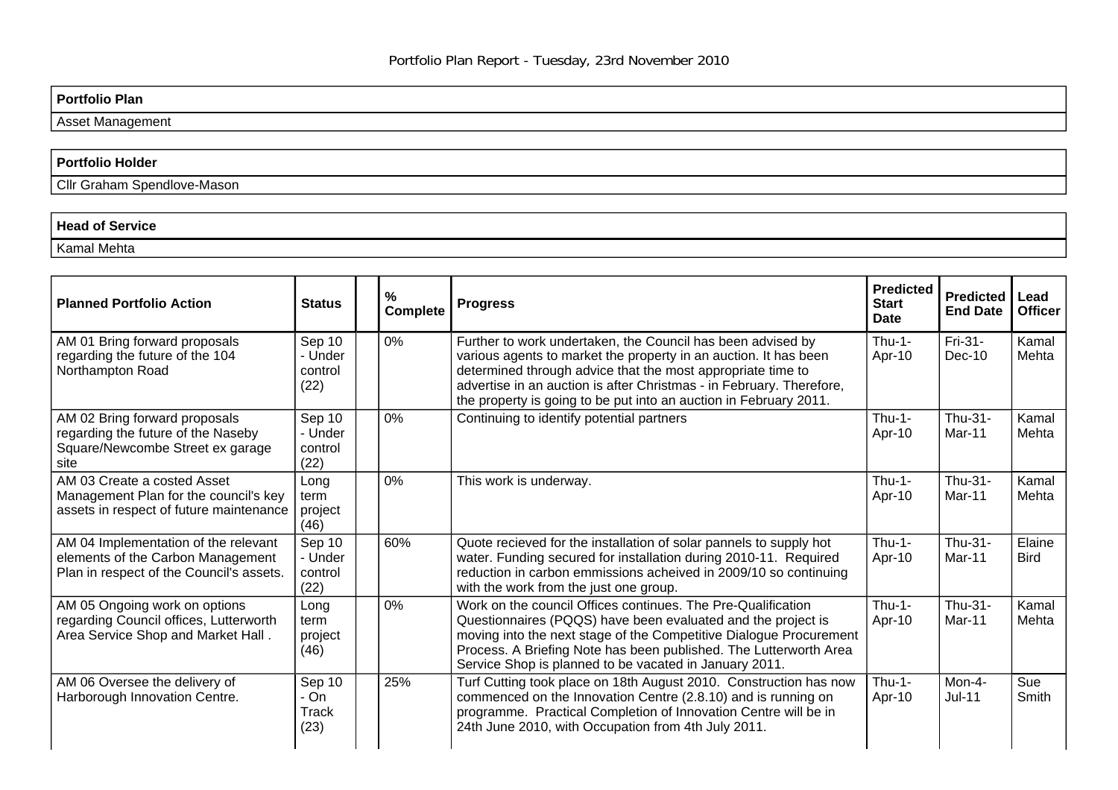Asset Management

### **Portfolio Holder**

Cllr Graham Spendlove-Mason

### **Head of Service**

Kamal Mehta

| <b>Planned Portfolio Action</b>                                                                                       | <b>Status</b>                        | $\%$<br><b>Complete</b> | <b>Progress</b>                                                                                                                                                                                                                                                                                                                             | <b>Predicted</b><br><b>Start</b><br><b>Date</b> | <b>Predicted</b><br><b>End Date</b> | Lead<br><b>Officer</b> |
|-----------------------------------------------------------------------------------------------------------------------|--------------------------------------|-------------------------|---------------------------------------------------------------------------------------------------------------------------------------------------------------------------------------------------------------------------------------------------------------------------------------------------------------------------------------------|-------------------------------------------------|-------------------------------------|------------------------|
| AM 01 Bring forward proposals<br>regarding the future of the 104<br>Northampton Road                                  | Sep 10<br>- Under<br>control<br>(22) | 0%                      | Further to work undertaken, the Council has been advised by<br>various agents to market the property in an auction. It has been<br>determined through advice that the most appropriate time to<br>advertise in an auction is after Christmas - in February. Therefore,<br>the property is going to be put into an auction in February 2011. | $Thu-1-$<br>Apr-10                              | Fri-31-<br>$Dec-10$                 | Kamal<br>Mehta         |
| AM 02 Bring forward proposals<br>regarding the future of the Naseby<br>Square/Newcombe Street ex garage<br>site       | Sep 10<br>- Under<br>control<br>(22) | 0%                      | Continuing to identify potential partners                                                                                                                                                                                                                                                                                                   | $Thu-1-$<br>Apr-10                              | Thu-31-<br>Mar-11                   | Kamal<br>Mehta         |
| AM 03 Create a costed Asset<br>Management Plan for the council's key<br>assets in respect of future maintenance       | Long<br>term<br>project<br>(46)      | 0%                      | This work is underway.                                                                                                                                                                                                                                                                                                                      | $Thu-1-$<br>Apr-10                              | Thu-31-<br>Mar-11                   | Kamal<br>Mehta         |
| AM 04 Implementation of the relevant<br>elements of the Carbon Management<br>Plan in respect of the Council's assets. | Sep 10<br>- Under<br>control<br>(22) | 60%                     | Quote recieved for the installation of solar pannels to supply hot<br>water. Funding secured for installation during 2010-11. Required<br>reduction in carbon emmissions acheived in 2009/10 so continuing<br>with the work from the just one group.                                                                                        | $T$ hu-1-<br>Apr-10                             | Thu-31-<br>Mar-11                   | Elaine<br><b>Bird</b>  |
| AM 05 Ongoing work on options<br>regarding Council offices, Lutterworth<br>Area Service Shop and Market Hall.         | Long<br>term<br>project<br>(46)      | 0%                      | Work on the council Offices continues. The Pre-Qualification<br>Questionnaires (PQQS) have been evaluated and the project is<br>moving into the next stage of the Competitive Dialogue Procurement<br>Process. A Briefing Note has been published. The Lutterworth Area<br>Service Shop is planned to be vacated in January 2011.           | $Thu-1-$<br>Apr-10                              | Thu-31-<br>Mar-11                   | Kamal<br>Mehta         |
| AM 06 Oversee the delivery of<br>Harborough Innovation Centre.                                                        | Sep 10<br>- On<br>Track<br>(23)      | 25%                     | Turf Cutting took place on 18th August 2010. Construction has now<br>commenced on the Innovation Centre (2.8.10) and is running on<br>programme. Practical Completion of Innovation Centre will be in<br>24th June 2010, with Occupation from 4th July 2011.                                                                                | $Thu-1-$<br>Apr-10                              | Mon-4-<br>$Jul-11$                  | Sue<br>Smith           |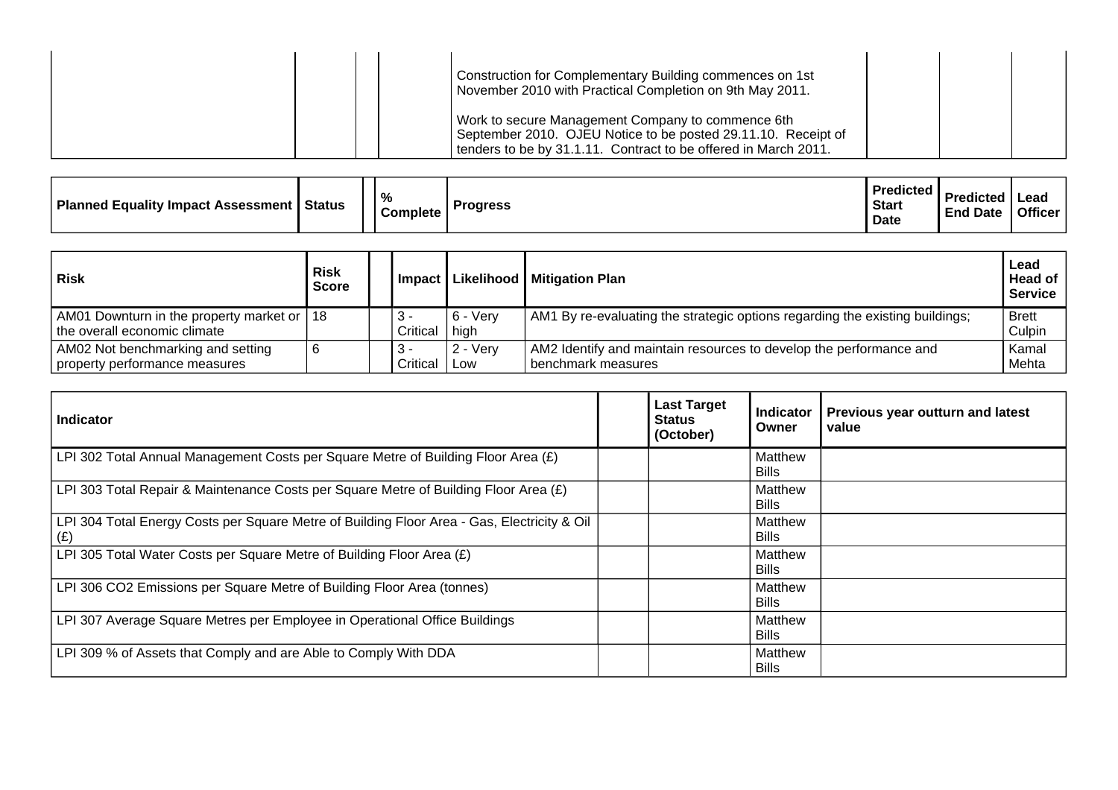|  | Construction for Complementary Building commences on 1st<br>November 2010 with Practical Completion on 9th May 2011.                                                                  |  |  |
|--|---------------------------------------------------------------------------------------------------------------------------------------------------------------------------------------|--|--|
|  | Work to secure Management Company to commence 6th<br>September 2010. OJEU Notice to be posted 29.11.10. Receipt of<br>tenders to be by 31.1.11. Contract to be offered in March 2011. |  |  |

| Planned<br><b>Equality Impact Assessment I</b> | Status |  | $\mathbf{0}_{\lambda}$<br>. .<br><b>Complete</b> | Progress | Predicted<br>' Stan<br><b>Date</b> | .<br>Pradictad<br><b>End Date</b> | Lead<br><b>Officer</b> |
|------------------------------------------------|--------|--|--------------------------------------------------|----------|------------------------------------|-----------------------------------|------------------------|
|------------------------------------------------|--------|--|--------------------------------------------------|----------|------------------------------------|-----------------------------------|------------------------|

| <b>Risk</b>                                                                | <b>Risk</b><br><b>Score</b> | <b>Impact</b>  |                    | Likelihood   Mitigation Plan                                                               | Lead<br><b>Head of</b><br><b>Service</b> |
|----------------------------------------------------------------------------|-----------------------------|----------------|--------------------|--------------------------------------------------------------------------------------------|------------------------------------------|
| AM01 Downturn in the property market or 18<br>the overall economic climate |                             | -3<br>Critical | 6 - Verv<br>I high | AM1 By re-evaluating the strategic options regarding the existing buildings;               | <b>Brett</b><br>Culpin                   |
| AM02 Not benchmarking and setting<br>property performance measures         |                             | Critical       | 2 - Verv<br>l Low  | AM2 Identify and maintain resources to develop the performance and<br>I benchmark measures | Kamal<br>Mehta                           |

| <b>Indicator</b>                                                                                   | <b>Last Target</b><br><b>Status</b><br>(October) | <b>Indicator</b><br>Owner | <b>Previous year outturn and latest</b><br>value |
|----------------------------------------------------------------------------------------------------|--------------------------------------------------|---------------------------|--------------------------------------------------|
| LPI 302 Total Annual Management Costs per Square Metre of Building Floor Area (£)                  |                                                  | Matthew<br><b>Bills</b>   |                                                  |
| LPI 303 Total Repair & Maintenance Costs per Square Metre of Building Floor Area (£)               |                                                  | Matthew<br><b>Bills</b>   |                                                  |
| LPI 304 Total Energy Costs per Square Metre of Building Floor Area - Gas, Electricity & Oil<br>(E) |                                                  | Matthew<br><b>Bills</b>   |                                                  |
| LPI 305 Total Water Costs per Square Metre of Building Floor Area (£)                              |                                                  | Matthew<br><b>Bills</b>   |                                                  |
| LPI 306 CO2 Emissions per Square Metre of Building Floor Area (tonnes)                             |                                                  | Matthew<br><b>Bills</b>   |                                                  |
| LPI 307 Average Square Metres per Employee in Operational Office Buildings                         |                                                  | Matthew<br><b>Bills</b>   |                                                  |
| LPI 309 % of Assets that Comply and are Able to Comply With DDA                                    |                                                  | Matthew<br><b>Bills</b>   |                                                  |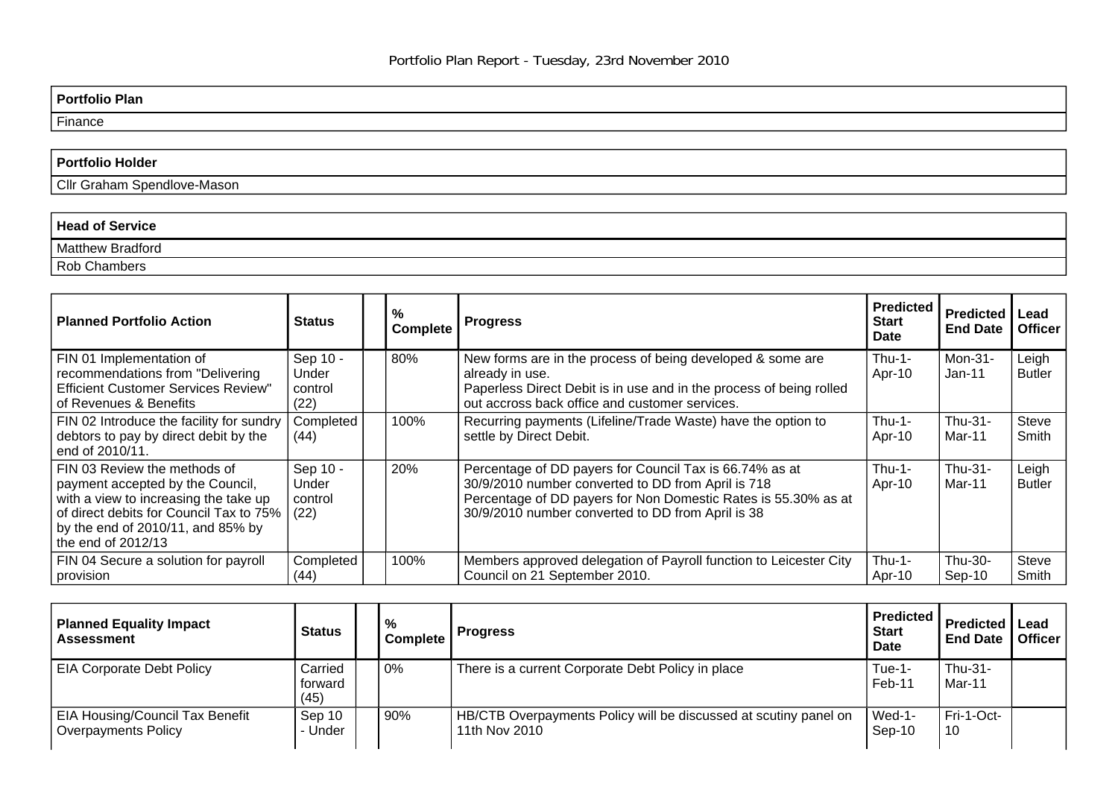## **Portfolio Plan**  Finance

## **Portfolio Holder**

Cllr Graham Spendlove-Mason

## **Head of Service**  Matthew Bradford Rob Chambers

| Planned Portfolio Action                                                                                                                                                                                          | <b>Status</b>                        | %<br><b>Complete</b> | <b>Progress</b>                                                                                                                                                                                                                      | <b>Predicted</b><br><b>Start</b><br>Date | <b>Predicted</b><br><b>End Date</b> | Lead<br><b>Officer</b> |
|-------------------------------------------------------------------------------------------------------------------------------------------------------------------------------------------------------------------|--------------------------------------|----------------------|--------------------------------------------------------------------------------------------------------------------------------------------------------------------------------------------------------------------------------------|------------------------------------------|-------------------------------------|------------------------|
| FIN 01 Implementation of<br>recommendations from "Delivering<br><b>Efficient Customer Services Review"</b><br>of Revenues & Benefits                                                                              | Sep 10 -<br>Under<br>control<br>(22) | 80%                  | New forms are in the process of being developed & some are<br>already in use.<br>Paperless Direct Debit is in use and in the process of being rolled<br>out accross back office and customer services.                               | $Thu-1-$<br>Apr-10                       | Mon-31-<br>$Jan-11$                 | Leigh<br><b>Butler</b> |
| FIN 02 Introduce the facility for sundry<br>debtors to pay by direct debit by the<br>end of 2010/11.                                                                                                              | Completed<br>(44)                    | 100%                 | Recurring payments (Lifeline/Trade Waste) have the option to<br>settle by Direct Debit.                                                                                                                                              | $Thu-1-$<br>Apr-10                       | Thu-31-<br>Mar-11                   | <b>Steve</b><br>Smith  |
| FIN 03 Review the methods of<br>payment accepted by the Council,<br>with a view to increasing the take up<br>of direct debits for Council Tax to 75%<br>by the end of 2010/11, and 85% by<br>the end of $2012/13$ | Sep 10 -<br>Under<br>control<br>(22) | 20%                  | Percentage of DD payers for Council Tax is 66.74% as at<br>30/9/2010 number converted to DD from April is 718<br>Percentage of DD payers for Non Domestic Rates is 55.30% as at<br>30/9/2010 number converted to DD from April is 38 | $Thu-1-$<br>Apr-10                       | Thu-31-<br>Mar-11                   | Leigh<br><b>Butler</b> |
| FIN 04 Secure a solution for payroll<br>provision                                                                                                                                                                 | Completed<br>(44)                    | 100%                 | Members approved delegation of Payroll function to Leicester City<br>Council on 21 September 2010.                                                                                                                                   | $Thu-1-$<br>Apr-10                       | Thu-30-<br>Sep-10                   | <b>Steve</b><br>Smith  |

| <b>Planned Equality Impact</b><br><b>Assessment</b>    | <b>Status</b>              | $\%$ | <b>Complete</b> | <b>Progress</b>                                                                   | Predicted<br><b>Start</b><br><b>Date</b> | <b>Predicted</b><br><b>End Date</b> | I Lead<br>l Officer |
|--------------------------------------------------------|----------------------------|------|-----------------|-----------------------------------------------------------------------------------|------------------------------------------|-------------------------------------|---------------------|
| <b>EIA Corporate Debt Policy</b>                       | Carried<br>forward<br>(45) | 0%   |                 | There is a current Corporate Debt Policy in place                                 | Tue-1-<br>Feb-11                         | $T$ hu-31-<br>Mar-11                |                     |
| EIA Housing/Council Tax Benefit<br>Overpayments Policy | Sep 10<br>· Under          |      | 90%             | HB/CTB Overpayments Policy will be discussed at scutiny panel on<br>11th Nov 2010 | $Wed-1-$<br>$Sep-10$                     | Fri-1-Oct-<br>10                    |                     |